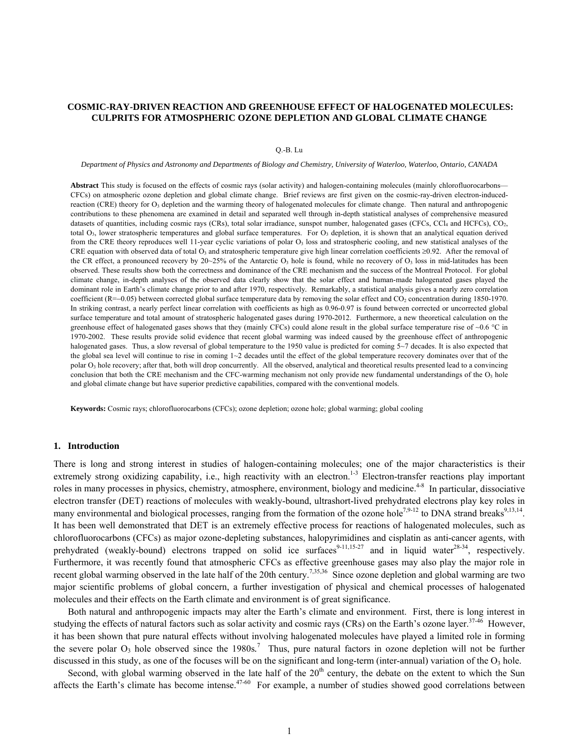# **COSMIC-RAY-DRIVEN REACTION AND GREENHOUSE EFFECT OF HALOGENATED MOLECULES: CULPRITS FOR ATMOSPHERIC OZONE DEPLETION AND GLOBAL CLIMATE CHANGE**

## Q.-B. Lu

*Department of Physics and Astronomy and Departments of Biology and Chemistry, University of Waterloo, Waterloo, Ontario, CANADA*

**Abstract** This study is focused on the effects of cosmic rays (solar activity) and halogen-containing molecules (mainly chlorofluorocarbons— CFCs) on atmospheric ozone depletion and global climate change. Brief reviews are first given on the cosmic-ray-driven electron-inducedreaction (CRE) theory for O<sub>3</sub> depletion and the warming theory of halogenated molecules for climate change. Then natural and anthropogenic contributions to these phenomena are examined in detail and separated well through in-depth statistical analyses of comprehensive measured datasets of quantities, including cosmic rays (CRs), total solar irradiance, sunspot number, halogenated gases (CFCs, CCl<sub>4</sub> and HCFCs), CO<sub>2</sub>, total  $O_3$ , lower stratospheric temperatures and global surface temperatures. For  $O_3$  depletion, it is shown that an analytical equation derived from the CRE theory reproduces well 11-year cyclic variations of polar  $O<sub>3</sub>$  loss and stratospheric cooling, and new statistical analyses of the CRE equation with observed data of total  $O_3$  and stratospheric temperature give high linear correlation coefficients  $\geq 0.92$ . After the removal of the CR effect, a pronounced recovery by 20~25% of the Antarctic O<sub>3</sub> hole is found, while no recovery of O<sub>3</sub> loss in mid-latitudes has been observed. These results show both the correctness and dominance of the CRE mechanism and the success of the Montreal Protocol. For global climate change, in-depth analyses of the observed data clearly show that the solar effect and human-made halogenated gases played the dominant role in Earth's climate change prior to and after 1970, respectively*.* Remarkably, a statistical analysis gives a nearly zero correlation coefficient ( $R=-0.05$ ) between corrected global surface temperature data by removing the solar effect and  $CO<sub>2</sub>$  concentration during 1850-1970. In striking contrast, a nearly perfect linear correlation with coefficients as high as 0.96-0.97 is found between corrected or uncorrected global surface temperature and total amount of stratospheric halogenated gases during 1970-2012. Furthermore, a new theoretical calculation on the greenhouse effect of halogenated gases shows that they (mainly CFCs) could alone result in the global surface temperature rise of  $\sim 0.6 \degree C$  in 1970-2002. These results provide solid evidence that recent global warming was indeed caused by the greenhouse effect of anthropogenic halogenated gases. Thus, a slow reversal of global temperature to the 1950 value is predicted for coming  $5~7$  decades. It is also expected that the global sea level will continue to rise in coming  $1~2$  decades until the effect of the global temperature recovery dominates over that of the polar O3 hole recovery; after that, both will drop concurrently. All the observed, analytical and theoretical results presented lead to a convincing conclusion that both the CRE mechanism and the CFC-warming mechanism not only provide new fundamental understandings of the  $O<sub>3</sub>$  hole and global climate change but have superior predictive capabilities, compared with the conventional models.

**Keywords:** Cosmic rays; chlorofluorocarbons (CFCs); ozone depletion; ozone hole; global warming; global cooling

## **1. Introduction**

There is long and strong interest in studies of halogen-containing molecules; one of the major characteristics is their extremely strong oxidizing capability, i.e., high reactivity with an electron.<sup>1-3</sup> Electron-transfer reactions play important roles in many processes in physics, chemistry, atmosphere, environment, biology and medicine.<sup>4-8</sup> In particular, dissociative electron transfer (DET) reactions of molecules with weakly-bound, ultrashort-lived prehydrated electrons play key roles in many environmental and biological processes, ranging from the formation of the ozone hole<sup>7,9-12</sup> to DNA strand breaks<sup>9,13,14</sup>. It has been well demonstrated that DET is an extremely effective process for reactions of halogenated molecules, such as chlorofluorocarbons (CFCs) as major ozone-depleting substances, halopyrimidines and cisplatin as anti-cancer agents, with prehydrated (weakly-bound) electrons trapped on solid ice surfaces<sup>9-11,15-27</sup> and in liquid water<sup>28-34</sup>, respectively. Furthermore, it was recently found that atmospheric CFCs as effective greenhouse gases may also play the major role in recent global warming observed in the late half of the 20th century.<sup>7,35,36</sup> Since ozone depletion and global warming are two major scientific problems of global concern, a further investigation of physical and chemical processes of halogenated molecules and their effects on the Earth climate and environment is of great significance.

Both natural and anthropogenic impacts may alter the Earth's climate and environment. First, there is long interest in studying the effects of natural factors such as solar activity and cosmic rays (CRs) on the Earth's ozone layer.<sup>37-46</sup> However, it has been shown that pure natural effects without involving halogenated molecules have played a limited role in forming the severe polar  $O_3$  hole observed since the 1980s.<sup>7</sup> Thus, pure natural factors in ozone depletion will not be further discussed in this study, as one of the focuses will be on the significant and long-term (inter-annual) variation of the  $O_3$  hole.

Second, with global warming observed in the late half of the  $20<sup>th</sup>$  century, the debate on the extent to which the Sun affects the Earth's climate has become intense.<sup>47-60</sup> For example, a number of studies showed good correlations between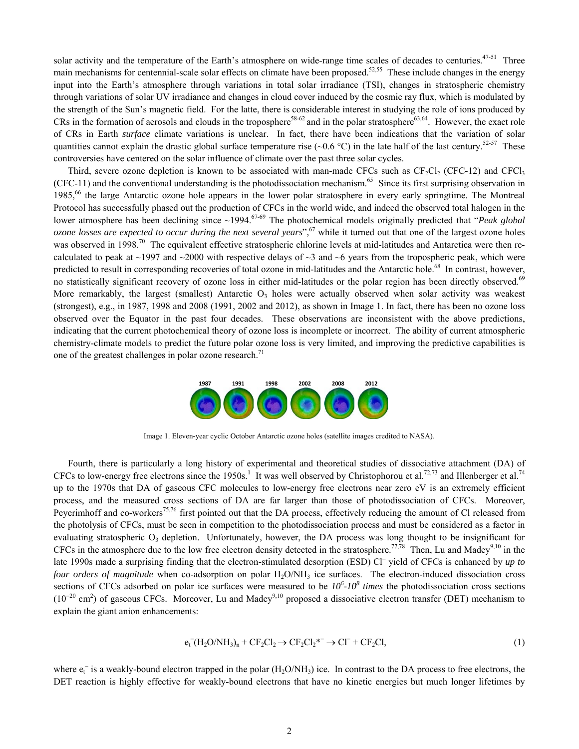solar activity and the temperature of the Earth's atmosphere on wide-range time scales of decades to centuries.<sup>47-51</sup> Three main mechanisms for centennial-scale solar effects on climate have been proposed.<sup>52,55</sup> These include changes in the energy input into the Earth's atmosphere through variations in total solar irradiance (TSI), changes in stratospheric chemistry through variations of solar UV irradiance and changes in cloud cover induced by the cosmic ray flux, which is modulated by the strength of the Sun's magnetic field. For the latte, there is considerable interest in studying the role of ions produced by CRs in the formation of aerosols and clouds in the troposphere<sup>58-62</sup> and in the polar stratosphere<sup>63,64</sup>. However, the exact role of CRs in Earth *surface* climate variations is unclear. In fact, there have been indications that the variation of solar quantities cannot explain the drastic global surface temperature rise ( $\sim$ 0.6 °C) in the late half of the last century.<sup>52-57</sup> These controversies have centered on the solar influence of climate over the past three solar cycles.

Third, severe ozone depletion is known to be associated with man-made CFCs such as  $CF_2Cl_2$  (CFC-12) and CFCl<sub>3</sub> (CFC-11) and the conventional understanding is the photodissociation mechanism.<sup>65</sup>Since its first surprising observation in 1985,<sup>66</sup> the large Antarctic ozone hole appears in the lower polar stratosphere in every early springtime. The Montreal Protocol has successfully phased out the production of CFCs in the world wide, and indeed the observed total halogen in the lower atmosphere has been declining since ~1994.<sup>67-69</sup> The photochemical models originally predicted that "*Peak global ozone losses are expected to occur during the next several years*",<sup>67</sup> while it turned out that one of the largest ozone holes was observed in 1998.<sup>70</sup> The equivalent effective stratospheric chlorine levels at mid-latitudes and Antarctica were then recalculated to peak at  $\sim$ 1997 and  $\sim$ 2000 with respective delays of  $\sim$ 3 and  $\sim$ 6 years from the tropospheric peak, which were predicted to result in corresponding recoveries of total ozone in mid-latitudes and the Antarctic hole.68 In contrast, however, no statistically significant recovery of ozone loss in either mid-latitudes or the polar region has been directly observed.<sup>69</sup> More remarkably, the largest (smallest) Antarctic  $O_3$  holes were actually observed when solar activity was weakest (strongest), e.g., in 1987, 1998 and 2008 (1991, 2002 and 2012), as shown in Image 1. In fact, there has been no ozone loss observed over the Equator in the past four decades. These observations are inconsistent with the above predictions, indicating that the current photochemical theory of ozone loss is incomplete or incorrect. The ability of current atmospheric chemistry-climate models to predict the future polar ozone loss is very limited, and improving the predictive capabilities is one of the greatest challenges in polar ozone research.<sup>71</sup>



Image 1. Eleven-year cyclic October Antarctic ozone holes (satellite images credited to NASA).

Fourth, there is particularly a long history of experimental and theoretical studies of dissociative attachment (DA) of CFCs to low-energy free electrons since the 1950s.<sup>1</sup> It was well observed by Christophorou et al.<sup>72,73</sup> and Illenberger et al.<sup>74</sup> up to the 1970s that DA of gaseous CFC molecules to low-energy free electrons near zero eV is an extremely efficient process, and the measured cross sections of DA are far larger than those of photodissociation of CFCs. Moreover, Peyerimhoff and co-workers<sup>75,76</sup> first pointed out that the DA process, effectively reducing the amount of Cl released from the photolysis of CFCs, must be seen in competition to the photodissociation process and must be considered as a factor in evaluating stratospheric O<sub>3</sub> depletion. Unfortunately, however, the DA process was long thought to be insignificant for CFCs in the atmosphere due to the low free electron density detected in the stratosphere.<sup>77,78</sup> Then, Lu and Madey<sup>9,10</sup> in the late 1990s made a surprising finding that the electron-stimulated desorption (ESD) Cl<sup>-</sup> yield of CFCs is enhanced by *up to four orders of magnitude* when co-adsorption on polar H<sub>2</sub>O/NH<sub>3</sub> ice surfaces. The electron-induced dissociation cross sections of CFCs adsorbed on polar ice surfaces were measured to be  $10^6$ - $10^8$  *times* the photodissociation cross sections  $(10^{-20} \text{ cm}^2)$  of gaseous CFCs. Moreover, Lu and Madey<sup>9,10</sup> proposed a dissociative electron transfer (DET) mechanism to explain the giant anion enhancements:

$$
e_t^-(H_2O/NH_3)_n + CF_2Cl_2 \rightarrow CF_2Cl_2^{*-} \rightarrow Cl^- + CF_2Cl,
$$
\n
$$
(1)
$$

where  $e_t^-$  is a weakly-bound electron trapped in the polar  $(H_2O/NH_3)$  ice. In contrast to the DA process to free electrons, the DET reaction is highly effective for weakly-bound electrons that have no kinetic energies but much longer lifetimes by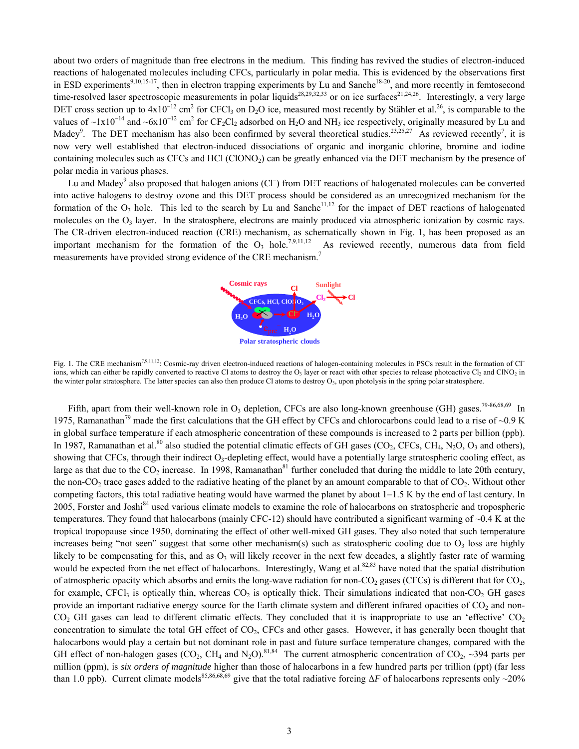about two orders of magnitude than free electrons in the medium. This finding has revived the studies of electron-induced reactions of halogenated molecules including CFCs, particularly in polar media. This is evidenced by the observations first in ESD experiments<sup>9,10,15-17</sup>, then in electron trapping experiments by Lu and Sanche<sup>18-20</sup>, and more recently in femtosecond time-resolved laser spectroscopic measurements in polar liquids<sup>28,29,32,33</sup> or on ice surfaces<sup>21,24,26</sup>. Interestingly, a very large DET cross section up to  $4x10^{-12}$  cm<sup>2</sup> for CFCl<sub>3</sub> on D<sub>2</sub>O ice, measured most recently by Stähler et al.<sup>26</sup>, is comparable to the values of  $\sim 1x10^{-14}$  and  $\sim 6x10^{-12}$  cm<sup>2</sup> for CF<sub>2</sub>Cl<sub>2</sub> adsorbed on H<sub>2</sub>O and NH<sub>3</sub> ice respectively, originally measured by Lu and Madey<sup>9</sup>. The DET mechanism has also been confirmed by several theoretical studies.<sup>23,25,27</sup> As reviewed recently<sup>7</sup>, it is now very well established that electron-induced dissociations of organic and inorganic chlorine, bromine and iodine containing molecules such as CFCs and HCl (ClONO<sub>2</sub>) can be greatly enhanced via the DET mechanism by the presence of polar media in various phases.

Lu and Madey<sup>9</sup> also proposed that halogen anions (Cl<sup>-</sup>) from DET reactions of halogenated molecules can be converted into active halogens to destroy ozone and this DET process should be considered as an unrecognized mechanism for the formation of the  $O_3$  hole. This led to the search by Lu and Sanche<sup>11,12</sup> for the impact of DET reactions of halogenated molecules on the  $O_3$  layer. In the stratosphere, electrons are mainly produced via atmospheric ionization by cosmic rays. The CR-driven electron-induced reaction (CRE) mechanism, as schematically shown in Fig. 1, has been proposed as an important mechanism for the formation of the  $O_3$  hole.<sup>7,9,11,12</sup> As reviewed recently, numerous data from field measurements have provided strong evidence of the CRE mechanism.7



Fig. 1. The CRE mechanism<sup>7,9,11,12</sup>: Cosmic-ray driven electron-induced reactions of halogen-containing molecules in PSCs result in the formation of Cl ions, which can either be rapidly converted to reactive Cl atoms to destroy the  $O<sub>3</sub>$  layer or react with other species to release photoactive Cl<sub>2</sub> and ClNO<sub>2</sub> in the winter polar stratosphere. The latter species can also then produce Cl atoms to destroy O<sub>3</sub>, upon photolysis in the spring polar stratosphere.

Fifth, apart from their well-known role in  $O_3$  depletion, CFCs are also long-known greenhouse (GH) gases.<sup>79-86,68,69</sup> In 1975, Ramanathan<sup>79</sup> made the first calculations that the GH effect by CFCs and chlorocarbons could lead to a rise of  $\sim 0.9$  K in global surface temperature if each atmospheric concentration of these compounds is increased to 2 parts per billion (ppb). In 1987, Ramanathan et al.<sup>80</sup> also studied the potential climatic effects of GH gases (CO<sub>2</sub>, CFCs, CH<sub>4</sub>, N<sub>2</sub>O, O<sub>3</sub> and others), showing that CFCs, through their indirect O<sub>3</sub>-depleting effect, would have a potentially large stratospheric cooling effect, as large as that due to the  $CO_2$  increase. In 1998, Ramanathan<sup>81</sup> further concluded that during the middle to late 20th century, the non- $CO<sub>2</sub>$  trace gases added to the radiative heating of the planet by an amount comparable to that of  $CO<sub>2</sub>$ . Without other competing factors, this total radiative heating would have warmed the planet by about  $1-1.5$  K by the end of last century. In 2005, Forster and Joshi<sup>84</sup> used various climate models to examine the role of halocarbons on stratospheric and tropospheric temperatures. They found that halocarbons (mainly CFC-12) should have contributed a significant warming of  $\sim 0.4$  K at the tropical tropopause since 1950, dominating the effect of other well-mixed GH gases. They also noted that such temperature increases being "not seen" suggest that some other mechanism(s) such as stratospheric cooling due to  $O_3$  loss are highly likely to be compensating for this, and as  $O_3$  will likely recover in the next few decades, a slightly faster rate of warming would be expected from the net effect of halocarbons. Interestingly, Wang et al.<sup>82,83</sup> have noted that the spatial distribution of atmospheric opacity which absorbs and emits the long-wave radiation for non- $CO_2$  gases (CFCs) is different that for  $CO_2$ , for example, CFCl<sub>3</sub> is optically thin, whereas  $CO_2$  is optically thick. Their simulations indicated that non-CO<sub>2</sub> GH gases provide an important radiative energy source for the Earth climate system and different infrared opacities of  $CO<sub>2</sub>$  and non- $CO<sub>2</sub>$  GH gases can lead to different climatic effects. They concluded that it is inappropriate to use an 'effective'  $CO<sub>2</sub>$ concentration to simulate the total GH effect of  $CO<sub>2</sub>$ , CFCs and other gases. However, it has generally been thought that halocarbons would play a certain but not dominant role in past and future surface temperature changes, compared with the GH effect of non-halogen gases (CO<sub>2</sub>, CH<sub>4</sub> and N<sub>2</sub>O).<sup>81,84</sup> The current atmospheric concentration of CO<sub>2</sub>, ~394 parts per million (ppm), is *six orders of magnitude* higher than those of halocarbons in a few hundred parts per trillion (ppt) (far less than 1.0 ppb). Current climate models<sup>85,86,68,69</sup> give that the total radiative forcing  $\Delta F$  of halocarbons represents only ~20%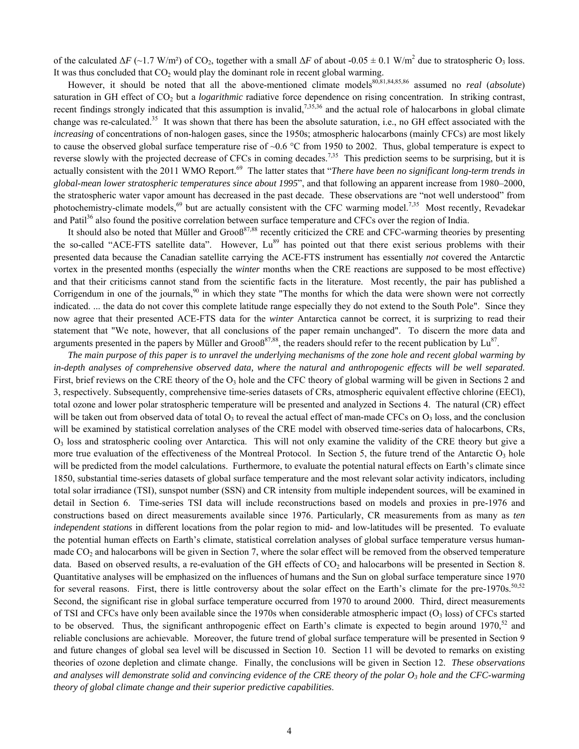of the calculated  $\Delta F$  (~1.7 W/m<sup>2</sup>) of CO<sub>2</sub>, together with a small  $\Delta F$  of about **-**0.05  $\pm$  0.1 W/m<sup>2</sup> due to stratospheric O<sub>3</sub> loss. It was thus concluded that  $CO<sub>2</sub>$  would play the dominant role in recent global warming.

However, it should be noted that all the above-mentioned climate models<sup>80,81,84,85,86</sup> assumed no *real* (*absolute*) saturation in GH effect of CO<sub>2</sub> but a *logarithmic* radiative force dependence on rising concentration. In striking contrast, recent findings strongly indicated that this assumption is invalid,<sup>7,35,36</sup> and the actual role of halocarbons in global climate change was re-calculated.<sup>35</sup> It was shown that there has been the absolute saturation, i.e., no GH effect associated with the *increasing* of concentrations of non-halogen gases, since the 1950s; atmospheric halocarbons (mainly CFCs) are most likely to cause the observed global surface temperature rise of  $\sim 0.6$  °C from 1950 to 2002. Thus, global temperature is expect to reverse slowly with the projected decrease of CFCs in coming decades.<sup>7,35</sup> This prediction seems to be surprising, but it is actually consistent with the 2011 WMO Report.<sup>69</sup> The latter states that "*There have been no significant long-term trends in global-mean lower stratospheric temperatures since about 1995*", and that following an apparent increase from 1980–2000, the stratospheric water vapor amount has decreased in the past decade. These observations are "not well understood" from photochemistry-climate models,<sup>69</sup> but are actually consistent with the CFC warming model.<sup>7,35</sup> Most recently, Revadekar and Patil<sup>36</sup> also found the positive correlation between surface temperature and CFCs over the region of India.

It should also be noted that Müller and Grooß<sup>87,88</sup> recently criticized the CRE and CFC-warming theories by presenting the so-called "ACE-FTS satellite data". However, Lu<sup>89</sup> has pointed out that there exist serious problems with their presented data because the Canadian satellite carrying the ACE-FTS instrument has essentially *not* covered the Antarctic vortex in the presented months (especially the *winter* months when the CRE reactions are supposed to be most effective) and that their criticisms cannot stand from the scientific facts in the literature. Most recently, the pair has published a Corrigendum in one of the journals,<sup>90</sup> in which they state "The months for which the data were shown were not correctly indicated. ... the data do not cover this complete latitude range especially they do not extend to the South Pole". Since they now agree that their presented ACE-FTS data for the *winter* Antarctica cannot be correct, it is surprizing to read their statement that "We note, however, that all conclusions of the paper remain unchanged". To discern the more data and arguments presented in the papers by Müller and Grooß<sup>87,88</sup>, the readers should refer to the recent publication by  $\text{Lu}^{87}$ .

*The main purpose of this paper is to unravel the underlying mechanisms of the zone hole and recent global warming by in-depth analyses of comprehensive observed data, where the natural and anthropogenic effects will be well separated.* First, brief reviews on the CRE theory of the  $O_3$  hole and the CFC theory of global warming will be given in Sections 2 and 3, respectively. Subsequently, comprehensive time-series datasets of CRs, atmospheric equivalent effective chlorine (EECl), total ozone and lower polar stratospheric temperature will be presented and analyzed in Sections 4. The natural (CR) effect will be taken out from observed data of total  $O_3$  to reveal the actual effect of man-made CFCs on  $O_3$  loss, and the conclusion will be examined by statistical correlation analyses of the CRE model with observed time-series data of halocarbons, CRs, O3 loss and stratospheric cooling over Antarctica. This will not only examine the validity of the CRE theory but give a more true evaluation of the effectiveness of the Montreal Protocol. In Section 5, the future trend of the Antarctic  $O_3$  hole will be predicted from the model calculations. Furthermore, to evaluate the potential natural effects on Earth's climate since 1850, substantial time-series datasets of global surface temperature and the most relevant solar activity indicators, including total solar irradiance (TSI), sunspot number (SSN) and CR intensity from multiple independent sources, will be examined in detail in Section 6. Time-series TSI data will include reconstructions based on models and proxies in pre-1976 and constructions based on direct measurements available since 1976. Particularly, CR measurements from as many as *ten independent stations* in different locations from the polar region to mid- and low-latitudes will be presented. To evaluate the potential human effects on Earth's climate, statistical correlation analyses of global surface temperature versus humanmade  $CO<sub>2</sub>$  and halocarbons will be given in Section 7, where the solar effect will be removed from the observed temperature data. Based on observed results, a re-evaluation of the GH effects of  $CO<sub>2</sub>$  and halocarbons will be presented in Section 8. Quantitative analyses will be emphasized on the influences of humans and the Sun on global surface temperature since 1970 for several reasons. First, there is little controversy about the solar effect on the Earth's climate for the pre-1970s.<sup>50,52</sup> Second, the significant rise in global surface temperature occurred from 1970 to around 2000. Third, direct measurements of TSI and CFCs have only been available since the 1970s when considerable atmospheric impact  $(O<sub>3</sub>$  loss) of CFCs started to be observed. Thus, the significant anthropogenic effect on Earth's climate is expected to begin around  $1970<sup>52</sup>$  and reliable conclusions are achievable. Moreover, the future trend of global surface temperature will be presented in Section 9 and future changes of global sea level will be discussed in Section 10. Section 11 will be devoted to remarks on existing theories of ozone depletion and climate change.Finally, the conclusions will be given in Section 12. *These observations and analyses will demonstrate solid and convincing evidence of the CRE theory of the polar O3 hole and the CFC-warming theory of global climate change and their superior predictive capabilities*.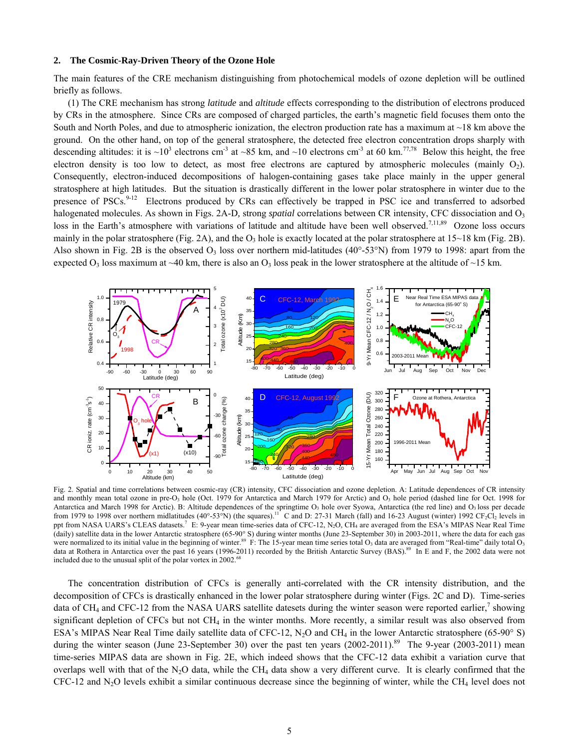## **2. The Cosmic-Ray-Driven Theory of the Ozone Hole**

The main features of the CRE mechanism distinguishing from photochemical models of ozone depletion will be outlined briefly as follows.

(1) The CRE mechanism has strong *latitude* and *altitude* effects corresponding to the distribution of electrons produced by CRs in the atmosphere. Since CRs are composed of charged particles, the earth's magnetic field focuses them onto the South and North Poles, and due to atmospheric ionization, the electron production rate has a maximum at  $\sim$ 18 km above the ground. On the other hand, on top of the general stratosphere, the detected free electron concentration drops sharply with descending altitudes: it is  $\sim 10^3$  electrons cm<sup>-3</sup> at  $\sim 85$  km, and  $\sim 10$  electrons cm<sup>-3</sup> at 60 km.<sup>77,78</sup> Below this height, the free electron density is too low to detect, as most free electrons are captured by atmospheric molecules (mainly  $O_2$ ). Consequently, electron-induced decompositions of halogen-containing gases take place mainly in the upper general stratosphere at high latitudes. But the situation is drastically different in the lower polar stratosphere in winter due to the presence of PSCs.<sup>9-12</sup> Electrons produced by CRs can effectively be trapped in PSC ice and transferred to adsorbed halogenated molecules. As shown in Figs. 2A-D, *strong <i>spatial* correlations between CR intensity, CFC dissociation and O<sub>3</sub> loss in the Earth's atmosphere with variations of latitude and altitude have been well observed.<sup>7,11,89</sup> Ozone loss occurs mainly in the polar stratosphere (Fig. 2A), and the  $O_3$  hole is exactly located at the polar stratosphere at  $15~18$  km (Fig. 2B). Also shown in Fig. 2B is the observed  $O_3$  loss over northern mid-latitudes (40°-53°N) from 1979 to 1998: apart from the expected O<sub>3</sub> loss maximum at ~40 km, there is also an O<sub>3</sub> loss peak in the lower stratosphere at the altitude of ~15 km.



Fig. 2. Spatial and time correlations between cosmic-ray (CR) intensity, CFC dissociation and ozone depletion. A: Latitude dependences of CR intensity and monthly mean total ozone in pre-O<sub>3</sub> hole (Oct. 1979 for Antarctica and March 1979 for Arctic) and O<sub>3</sub> hole period (dashed line for Oct. 1998 for Antarctica and March 1998 for Arctic). B: Altitude dependences of the springtime  $O<sub>3</sub>$  hole over Syowa, Antarctica (the red line) and  $O<sub>3</sub>$  loss per decade from 1979 to 1998 over northern midlatitudes (40°-53°N) (the squares).<sup>11</sup> C and D: 27-31 March (fall) and 16-23 August (winter) 1992 CF<sub>2</sub>Cl<sub>2</sub> levels in ppt from NASA UARS's CLEAS datasets.<sup>7</sup> E: 9-year mean time-series data of CFC-12, N<sub>2</sub>O, CH<sub>4</sub> are averaged from the ESA's MIPAS Near Real Time (daily) satellite data in the lower Antarctic stratosphere (65-90 S) during winter months (June 23-September 30) in 2003-2011, where the data for each gas were normalized to its initial value in the beginning of winter.<sup>89</sup> F: The 15-year mean time series total O<sub>3</sub> data are averaged from "Real-time" daily total O<sub>3</sub> data at Rothera in Antarctica over the past 16 years (1996-2011) recorded by the British Antarctic Survey (BAS).<sup>89</sup> In E and F, the 2002 data were not included due to the unusual split of the polar vortex in 2002.<sup>68</sup>

The concentration distribution of CFCs is generally anti-correlated with the CR intensity distribution, and the decomposition of CFCs is drastically enhanced in the lower polar stratosphere during winter (Figs. 2C and D). Time-series data of CH<sub>4</sub> and CFC-12 from the NASA UARS satellite datesets during the winter season were reported earlier,<sup>7</sup> showing significant depletion of CFCs but not  $CH_4$  in the winter months. More recently, a similar result was also observed from ESA's MIPAS Near Real Time daily satellite data of CFC-12,  $N_2O$  and CH<sub>4</sub> in the lower Antarctic stratosphere (65-90 $\degree$  S) during the winter season (June 23-September 30) over the past ten years (2002-2011).<sup>89</sup> The 9-year (2003-2011) mean time-series MIPAS data are shown in Fig. 2E, which indeed shows that the CFC-12 data exhibit a variation curve that overlaps well with that of the  $N_2O$  data, while the  $CH_4$  data show a very different curve. It is clearly confirmed that the  $CFC-12$  and N<sub>2</sub>O levels exhibit a similar continuous decrease since the beginning of winter, while the CH<sub>4</sub> level does not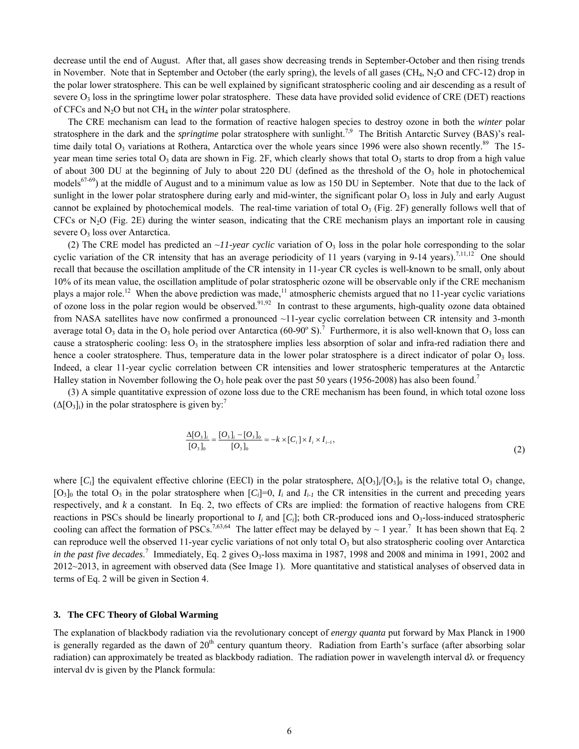decrease until the end of August. After that, all gases show decreasing trends in September-October and then rising trends in November. Note that in September and October (the early spring), the levels of all gases (CH<sub>4</sub>, N<sub>2</sub>O and CFC-12) drop in the polar lower stratosphere. This can be well explained by significant stratospheric cooling and air descending as a result of severe  $O_3$  loss in the springtime lower polar stratosphere. These data have provided solid evidence of CRE (DET) reactions of CFCs and N2O but not CH4 in the *winter* polar stratosphere.

The CRE mechanism can lead to the formation of reactive halogen species to destroy ozone in both the *winter* polar stratosphere in the dark and the *springtime* polar stratosphere with sunlight.<sup>7,9</sup> The British Antarctic Survey (BAS)'s realtime daily total  $O_3$  variations at Rothera, Antarctica over the whole years since 1996 were also shown recently.<sup>89</sup> The 15year mean time series total  $O_3$  data are shown in Fig. 2F, which clearly shows that total  $O_3$  starts to drop from a high value of about 300 DU at the beginning of July to about 220 DU (defined as the threshold of the  $O_3$  hole in photochemical models<sup>67-69</sup>) at the middle of August and to a minimum value as low as 150 DU in September. Note that due to the lack of sunlight in the lower polar stratosphere during early and mid-winter, the significant polar  $O<sub>3</sub>$  loss in July and early August cannot be explained by photochemical models. The real-time variation of total  $O<sub>3</sub>$  (Fig. 2F) generally follows well that of CFCs or  $N_2O$  (Fig. 2E) during the winter season, indicating that the CRE mechanism plays an important role in causing severe  $O_3$  loss over Antarctica.

(2) The CRE model has predicted an  $\sim$ *11-year cyclic* variation of  $O_3$  loss in the polar hole corresponding to the solar cyclic variation of the CR intensity that has an average periodicity of 11 years (varying in 9-14 years).<sup>7,11,12</sup> One should recall that because the oscillation amplitude of the CR intensity in 11-year CR cycles is well-known to be small, only about 10% of its mean value, the oscillation amplitude of polar stratospheric ozone will be observable only if the CRE mechanism plays a major role.<sup>12</sup> When the above prediction was made,<sup>11</sup> atmospheric chemists argued that no 11-year cyclic variations of ozone loss in the polar region would be observed.<sup>91,92</sup> In contrast to these arguments, high-quality ozone data obtained from NASA satellites have now confirmed a pronounced  $\sim$ 11-year cyclic correlation between CR intensity and 3-month average total  $O_3$  data in the  $O_3$  hole period over Antarctica (60-90° S).<sup>7</sup> Furthermore, it is also well-known that  $O_3$  loss can cause a stratospheric cooling: less  $O_3$  in the stratosphere implies less absorption of solar and infra-red radiation there and hence a cooler stratosphere. Thus, temperature data in the lower polar stratosphere is a direct indicator of polar  $O_3$  loss. Indeed, a clear 11-year cyclic correlation between CR intensities and lower stratospheric temperatures at the Antarctic Halley station in November following the  $O_3$  hole peak over the past 50 years (1956-2008) has also been found.<sup>7</sup>

(3) A simple quantitative expression of ozone loss due to the CRE mechanism has been found, in which total ozone loss  $(\Delta[O_3]_i)$  in the polar stratosphere is given by:<sup>7</sup>

$$
\frac{\Delta[O_3]_i}{[O_3]_0} = \frac{[O_3]_i - [O_3]_0}{[O_3]_0} = -k \times [C_i] \times I_i \times I_{i-1},
$$
\n(2)

where  $[C_i]$  the equivalent effective chlorine (EECl) in the polar stratosphere,  $\Delta [O_3]$ <sub>i</sub>/ $[O_3]$ <sub>0</sub> is the relative total  $O_3$  change,  $[O_3]_0$  the total  $O_3$  in the polar stratosphere when  $[C_i]=0$ ,  $I_i$  and  $I_{i-1}$  the CR intensities in the current and preceding years respectively, and *k* a constant. In Eq. 2, two effects of CRs are implied: the formation of reactive halogens from CRE reactions in PSCs should be linearly proportional to  $I_i$  and  $[C_i]$ ; both CR-produced ions and  $O_3$ -loss-induced stratospheric cooling can affect the formation of PSCs.<sup>7,63,64</sup> The latter effect may be delayed by  $\sim 1$  year.<sup>7</sup> It has been shown that Eq. 2 can reproduce well the observed 11-year cyclic variations of not only total  $O<sub>3</sub>$  but also stratospheric cooling over Antarctica in the past five decades.<sup>7</sup> Immediately, Eq. 2 gives O<sub>3</sub>-loss maxima in 1987, 1998 and 2008 and minima in 1991, 2002 and 2012~2013, in agreement with observed data (See Image 1). More quantitative and statistical analyses of observed data in terms of Eq. 2 will be given in Section 4.

## **3. The CFC Theory of Global Warming**

The explanation of blackbody radiation via the revolutionary concept of *energy quanta* put forward by Max Planck in 1900 is generally regarded as the dawn of 20<sup>th</sup> century quantum theory. Radiation from Earth's surface (after absorbing solar radiation) can approximately be treated as blackbody radiation. The radiation power in wavelength interval  $d\lambda$  or frequency interval dy is given by the Planck formula: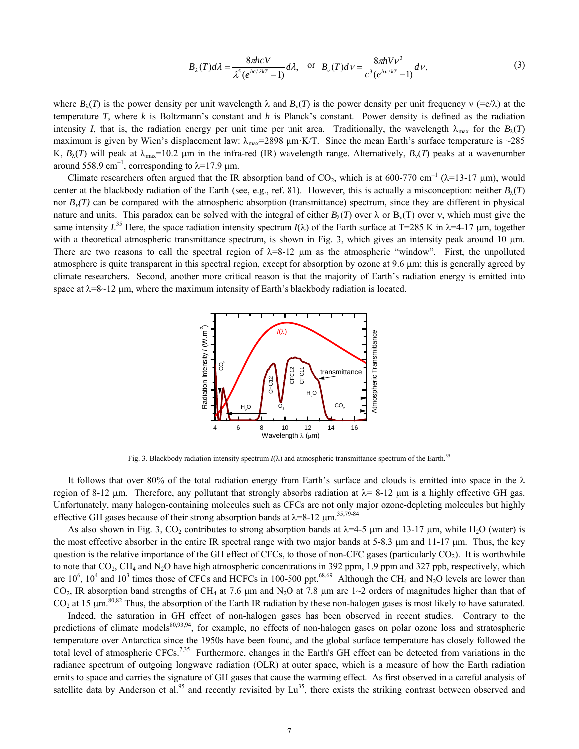$$
B_{\lambda}(T)d\lambda = \frac{8\pi hcV}{\lambda^5 (e^{hc/\lambda kT} - 1)}d\lambda, \text{ or } B_{\nu}(T)d\nu = \frac{8\pi hV\nu^3}{c^3 (e^{hv/kT} - 1)}d\nu,
$$
\n(3)

where  $B_\lambda(T)$  is the power density per unit wavelength  $\lambda$  and  $B_\nu(T)$  is the power density per unit frequency  $\nu (=c/\lambda)$  at the temperature *T*, where *k* is Boltzmann's constant and *h* is Planck's constant. Power density is defined as the radiation intensity *I*, that is, the radiation energy per unit time per unit area. Traditionally, the wavelength  $\lambda_{\text{max}}$  for the  $B_{\lambda}(T)$ maximum is given by Wien's displacement law:  $\lambda_{\text{max}}=2898$  µm·K/T. Since the mean Earth's surface temperature is ~285 K,  $B_{\lambda}(T)$  will peak at  $\lambda_{\text{max}}=10.2$  µm in the infra-red (IR) wavelength range. Alternatively,  $B_{\nu}(T)$  peaks at a wavenumber around 558.9 cm<sup>-1</sup>, corresponding to  $\lambda$ =17.9 µm.

Climate researchers often argued that the IR absorption band of  $CO_2$ , which is at 600-770 cm<sup>-1</sup> ( $\lambda$ =13-17 µm), would center at the blackbody radiation of the Earth (see, e.g., ref. 81). However, this is actually a misconception: neither  $B_\lambda(T)$ nor  $B<sub>i</sub>(T)$  can be compared with the atmospheric absorption (transmittance) spectrum, since they are different in physical nature and units. This paradox can be solved with the integral of either  $B_{\lambda}(T)$  over  $\lambda$  or  $B_{\nu}(T)$  over v, which must give the same intensity *I*.<sup>35</sup> Here, the space radiation intensity spectrum  $I(\lambda)$  of the Earth surface at T=285 K in  $\lambda$ =4-17 µm, together with a theoretical atmospheric transmittance spectrum, is shown in Fig. 3, which gives an intensity peak around  $10 \mu m$ . There are two reasons to call the spectral region of  $\lambda = 8-12$  um as the atmospheric "window". First, the unpolluted atmosphere is quite transparent in this spectral region, except for absorption by ozone at 9.6  $\mu$ m; this is generally agreed by climate researchers. Second, another more critical reason is that the majority of Earth's radiation energy is emitted into space at  $\lambda$ =8~12 µm, where the maximum intensity of Earth's blackbody radiation is located.



Fig. 3. Blackbody radiation intensity spectrum  $I(\lambda)$  and atmospheric transmittance spectrum of the Earth.<sup>35</sup>

It follows that over 80% of the total radiation energy from Earth's surface and clouds is emitted into space in the  $\lambda$ region of 8-12  $\mu$ m. Therefore, any pollutant that strongly absorbs radiation at  $\lambda$ = 8-12  $\mu$ m is a highly effective GH gas. Unfortunately, many halogen-containing molecules such as CFCs are not only major ozone-depleting molecules but highly effective GH gases because of their strong absorption bands at  $\lambda$ =8-12  $\mu$ m.<sup>35,79-84</sup>

As also shown in Fig. 3, CO<sub>2</sub> contributes to strong absorption bands at  $\lambda$ =4-5  $\mu$ m and 13-17  $\mu$ m, while H<sub>2</sub>O (water) is the most effective absorber in the entire IR spectral range with two major bands at  $5-8.3$   $\mu$ m and  $11-17$   $\mu$ m. Thus, the key question is the relative importance of the GH effect of CFCs, to those of non-CFC gases (particularly  $CO<sub>2</sub>$ ). It is worthwhile to note that  $CO_2$ ,  $CH_4$  and  $N_2O$  have high atmospheric concentrations in 392 ppm, 1.9 ppm and 327 ppb, respectively, which are  $10^6$ ,  $10^4$  and  $10^3$  times those of CFCs and HCFCs in 100-500 ppt.<sup>68,69</sup> Although the CH<sub>4</sub> and N<sub>2</sub>O levels are lower than CO<sub>2</sub>, IR absorption band strengths of CH<sub>4</sub> at 7.6 µm and N<sub>2</sub>O at 7.8 µm are  $1\sim$ 2 orders of magnitudes higher than that of  $CO<sub>2</sub>$  at 15  $\mu$ m.<sup>80,82</sup> Thus, the absorption of the Earth IR radiation by these non-halogen gases is most likely to have saturated.

Indeed, the saturation in GH effect of non-halogen gases has been observed in recent studies. Contrary to the predictions of climate models<sup>80,93,94</sup>, for example, no effects of non-halogen gases on polar ozone loss and stratospheric temperature over Antarctica since the 1950s have been found, and the global surface temperature has closely followed the total level of atmospheric CFCs.<sup>7,35</sup> Furthermore, changes in the Earth's GH effect can be detected from variations in the radiance spectrum of outgoing longwave radiation (OLR) at outer space, which is a measure of how the Earth radiation emits to space and carries the signature of GH gases that cause the warming effect. As first observed in a careful analysis of satellite data by Anderson et al.<sup>95</sup> and recently revisited by  $Lu^{35}$ , there exists the striking contrast between observed and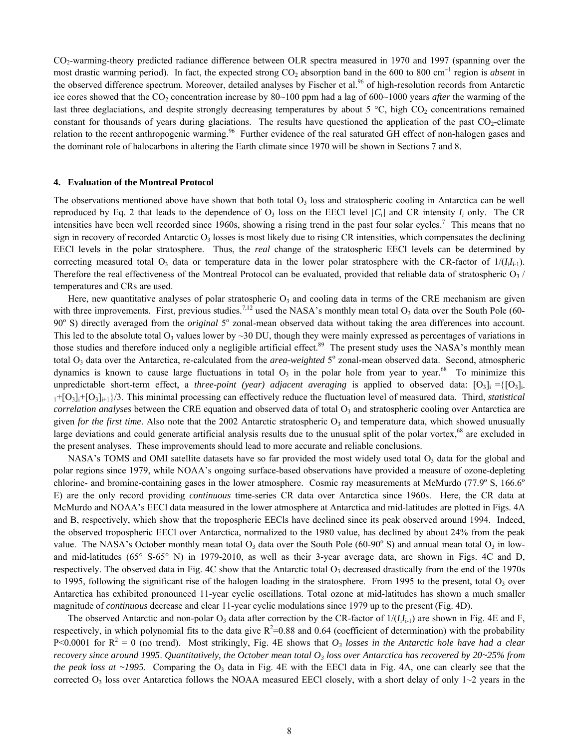CO2-warming-theory predicted radiance difference between OLR spectra measured in 1970 and 1997 (spanning over the most drastic warming period). In fact, the expected strong  $CO_2$  absorption band in the 600 to 800 cm<sup>-1</sup> region is *absent* in the observed difference spectrum. Moreover, detailed analyses by Fischer et al.<sup>96</sup> of high-resolution records from Antarctic ice cores showed that the CO<sub>2</sub> concentration increase by  $80~100$  ppm had a lag of  $600~1000$  years *after* the warming of the last three deglaciations, and despite strongly decreasing temperatures by about  $5^{\circ}$ C, high CO<sub>2</sub> concentrations remained constant for thousands of years during glaciations. The results have questioned the application of the past  $CO<sub>2</sub>$ -climate relation to the recent anthropogenic warming.<sup>96</sup> Further evidence of the real saturated GH effect of non-halogen gases and the dominant role of halocarbons in altering the Earth climate since 1970 will be shown in Sections 7 and 8.

### **4. Evaluation of the Montreal Protocol**

The observations mentioned above have shown that both total  $O<sub>3</sub>$  loss and stratospheric cooling in Antarctica can be well reproduced by Eq. 2 that leads to the dependence of  $O_3$  loss on the EECl level  $[C_i]$  and CR intensity  $I_i$  only. The CR intensities have been well recorded since 1960s, showing a rising trend in the past four solar cycles.<sup>7</sup> This means that no sign in recovery of recorded Antarctic  $O_3$  losses is most likely due to rising CR intensities, which compensates the declining EECl levels in the polar stratosphere. Thus, the *real* change of the stratospheric EECl levels can be determined by correcting measured total  $O_3$  data or temperature data in the lower polar stratosphere with the CR-factor of  $1/(I_{i,j})$ . Therefore the real effectiveness of the Montreal Protocol can be evaluated, provided that reliable data of stratospheric  $O_3$  / temperatures and CRs are used.

Here, new quantitative analyses of polar stratospheric  $O_3$  and cooling data in terms of the CRE mechanism are given with three improvements. First, previous studies.<sup>7,12</sup> used the NASA's monthly mean total  $O_3$  data over the South Pole (60-90° S) directly averaged from the *original* 5° zonal-mean observed data without taking the area differences into account. This led to the absolute total  $O_3$  values lower by ~30 DU, though they were mainly expressed as percentages of variations in those studies and therefore induced only a negligible artificial effect.<sup>89</sup> The present study uses the NASA's monthly mean total O<sub>3</sub> data over the Antarctica, re-calculated from the *area-weighted* 5° zonal-mean observed data. Second, atmospheric dynamics is known to cause large fluctuations in total  $O_3$  in the polar hole from year to year.<sup>68</sup> To minimize this unpredictable short-term effect, a *three-point (year) adjacent averaging* is applied to observed data:  $[O_3]_i = \{[O_3]_i\}$  $_{1}$ +[O<sub>3</sub>]<sub>i+1</sub> $\{O_3\}$ <sub>i+1</sub> $\{O_3\}$ . This minimal processing can effectively reduce the fluctuation level of measured data. Third, *statistical correlation analyses* between the CRE equation and observed data of total  $O<sub>3</sub>$  and stratospheric cooling over Antarctica are given *for the first time*. Also note that the 2002 Antarctic stratospheric  $O_3$  and temperature data, which showed unusually large deviations and could generate artificial analysis results due to the unusual split of the polar vortex,<sup>68</sup> are excluded in the present analyses. These improvements should lead to more accurate and reliable conclusions.

NASA's TOMS and OMI satellite datasets have so far provided the most widely used total  $O_3$  data for the global and polar regions since 1979, while NOAA's ongoing surface-based observations have provided a measure of ozone-depleting chlorine- and bromine-containing gases in the lower atmosphere. Cosmic ray measurements at McMurdo (77.9° S, 166.6° E) are the only record providing *continuous* time-series CR data over Antarctica since 1960s. Here, the CR data at McMurdo and NOAA's EECl data measured in the lower atmosphere at Antarctica and mid-latitudes are plotted in Figs. 4A and B, respectively, which show that the tropospheric EECls have declined since its peak observed around 1994. Indeed, the observed tropospheric EECl over Antarctica, normalized to the 1980 value, has declined by about 24% from the peak value. The NASA's October monthly mean total  $O_3$  data over the South Pole (60-90 $^{\circ}$  S) and annual mean total  $O_3$  in lowand mid-latitudes (65° S-65° N) in 1979-2010, as well as their 3-year average data, are shown in Figs. 4C and D, respectively. The observed data in Fig. 4C show that the Antarctic total  $O_3$  decreased drastically from the end of the 1970s to 1995, following the significant rise of the halogen loading in the stratosphere. From 1995 to the present, total  $O_3$  over Antarctica has exhibited pronounced 11-year cyclic oscillations. Total ozone at mid-latitudes has shown a much smaller magnitude of *continuous* decrease and clear 11-year cyclic modulations since 1979 up to the present (Fig. 4D).

The observed Antarctic and non-polar  $O_3$  data after correction by the CR-factor of  $1/(I_i I_{i-1})$  are shown in Fig. 4E and F, respectively, in which polynomial fits to the data give  $R^2$ =0.88 and 0.64 (coefficient of determination) with the probability  $P<0.0001$  for  $R^2 = 0$  (no trend). Most strikingly, Fig. 4E shows that  $O_3$  losses in the Antarctic hole have had a clear *recovery since around 1995*. *Quantitatively, the October mean total O3 loss over Antarctica has recovered by 20~25% from the peak loss at ~1995*. Comparing the  $O_3$  data in Fig. 4E with the EECl data in Fig. 4A, one can clearly see that the corrected  $O_3$  loss over Antarctica follows the NOAA measured EECl closely, with a short delay of only  $1~2$  years in the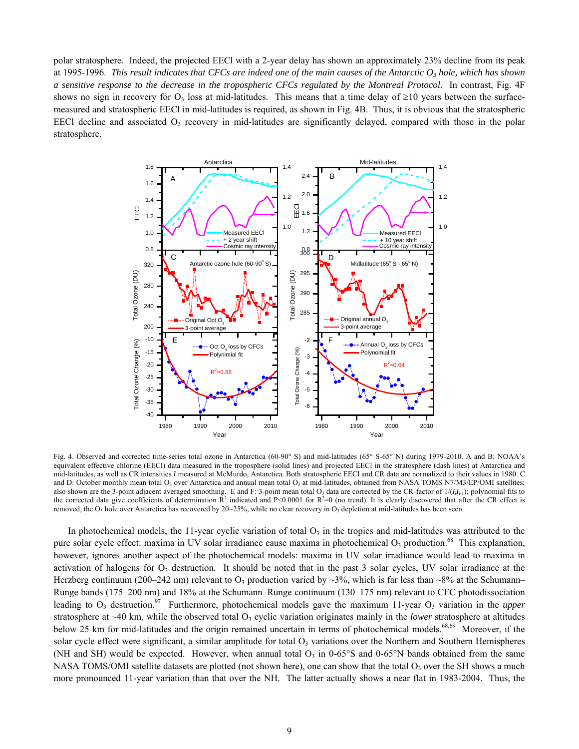polar stratosphere. Indeed, the projected EECl with a 2-year delay has shown an approximately 23% decline from its peak at 1995-1996. *This result indicates that CFCs are indeed one of the main causes of the Antarctic O3 hole, which has shown a sensitive response to the decrease in the tropospheric CFCs regulated by the Montreal Protocol*. In contrast, Fig. 4F shows no sign in recovery for  $O_3$  loss at mid-latitudes. This means that a time delay of  $\geq 10$  years between the surfacemeasured and stratospheric EECl in mid-latitudes is required, as shown in Fig. 4B. Thus, it is obvious that the stratospheric EECl decline and associated  $O_3$  recovery in mid-latitudes are significantly delayed, compared with those in the polar stratosphere.



Fig. 4. Observed and corrected time-series total ozone in Antarctica (60-90° S) and mid-latitudes (65° S-65° N) during 1979-2010. A and B: NOAA's equivalent effective chlorine (EECl) data measured in the troposphere (solid lines) and projected EECl in the stratosphere (dash lines) at Antarctica and mid-latitudes, as well as CR intensities *I* measured at McMurdo, Antarctica. Both stratospheric EECl and CR data are normalized to their values in 1980. C and D: October monthly mean total O<sub>3</sub> over Antarctica and annual mean total O<sub>3</sub> at mid-latitudes, obtained from NASA TOMS N7/M3/EP/OMI satellites; also shown are the 3-point adjacent averaged smoothing. E and F: 3-point mean total  $O_3$  data are corrected by the CR-factor of  $1/(I_iI_{i-1})$ ; polynomial fits to the corrected data give coefficients of determination  $R^2$  indicated and P<0.0001 for  $R^2=0$  (no trend). It is clearly discovered that after the CR effect is removed, the  $O_3$  hole over Antarctica has recovered by 20~25%, while no clear recovery in  $O_3$  depletion at mid-latitudes has been seen.

In photochemical models, the 11-year cyclic variation of total  $O<sub>3</sub>$  in the tropics and mid-latitudes was attributed to the pure solar cycle effect: maxima in UV solar irradiance cause maxima in photochemical  $O_3$  production.<sup>68</sup> This explanation, however, ignores another aspect of the photochemical models: maxima in UV solar irradiance would lead to maxima in activation of halogens for  $O_3$  destruction. It should be noted that in the past 3 solar cycles, UV solar irradiance at the Herzberg continuum (200–242 nm) relevant to O<sub>3</sub> production varied by ~3%, which is far less than ~8% at the Schumann– Runge bands (175–200 nm) and 18% at the Schumann–Runge continuum (130–175 nm) relevant to CFC photodissociation leading to  $O_3$  destruction.<sup>97</sup> Furthermore, photochemical models gave the maximum 11-year  $O_3$  variation in the *upper* stratosphere at  $~40$  km, while the observed total  $O<sub>3</sub>$  cyclic variation originates mainly in the *lower* stratosphere at altitudes below 25 km for mid-latitudes and the origin remained uncertain in terms of photochemical models.<sup>68,69</sup> Moreover, if the solar cycle effect were significant, a similar amplitude for total  $O_3$  variations over the Northern and Southern Hemispheres (NH and SH) would be expected. However, when annual total  $O_3$  in 0-65°S and 0-65°N bands obtained from the same NASA TOMS/OMI satellite datasets are plotted (not shown here), one can show that the total  $O_3$  over the SH shows a much more pronounced 11-year variation than that over the NH. The latter actually shows a near flat in 1983-2004. Thus, the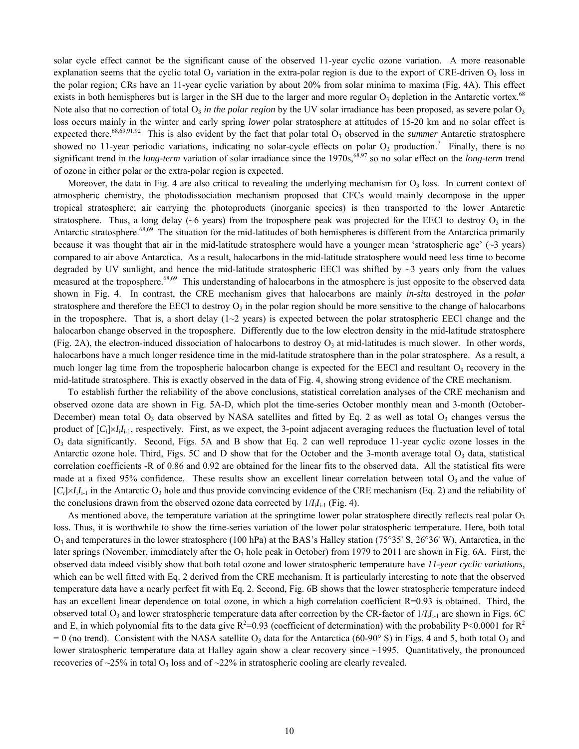solar cycle effect cannot be the significant cause of the observed 11-year cyclic ozone variation. A more reasonable explanation seems that the cyclic total  $O_3$  variation in the extra-polar region is due to the export of CRE-driven  $O_3$  loss in the polar region; CRs have an 11-year cyclic variation by about 20% from solar minima to maxima (Fig. 4A). This effect exists in both hemispheres but is larger in the SH due to the larger and more regular  $O_3$  depletion in the Antarctic vortex.<sup>68</sup> Note also that no correction of total  $O_3$  *in the polar region* by the UV solar irradiance has been proposed, as severe polar  $O_3$ loss occurs mainly in the winter and early spring *lower* polar stratosphere at attitudes of 15-20 km and no solar effect is expected there.<sup>68,69,91,92</sup> This is also evident by the fact that polar total  $O_3$  observed in the *summer* Antarctic stratosphere showed no 11-year periodic variations, indicating no solar-cycle effects on polar  $O_3$  production.<sup>7</sup> Finally, there is no significant trend in the *long-term* variation of solar irradiance since the 1970s,<sup>68,97</sup> so no solar effect on the *long-term* trend of ozone in either polar or the extra-polar region is expected.

Moreover, the data in Fig. 4 are also critical to revealing the underlying mechanism for  $O_3$  loss. In current context of atmospheric chemistry, the photodissociation mechanism proposed that CFCs would mainly decompose in the upper tropical stratosphere; air carrying the photoproducts (inorganic species) is then transported to the lower Antarctic stratosphere. Thus, a long delay ( $\sim$ 6 years) from the troposphere peak was projected for the EECl to destroy  $O_3$  in the Antarctic stratosphere.<sup>68,69</sup> The situation for the mid-latitudes of both hemispheres is different from the Antarctica primarily because it was thought that air in the mid-latitude stratosphere would have a younger mean 'stratospheric age' (~3 years) compared to air above Antarctica. As a result, halocarbons in the mid-latitude stratosphere would need less time to become degraded by UV sunlight, and hence the mid-latitude stratospheric EECl was shifted by  $\sim$ 3 years only from the values measured at the troposphere.<sup>68,69</sup> This understanding of halocarbons in the atmosphere is just opposite to the observed data shown in Fig. 4. In contrast, the CRE mechanism gives that halocarbons are mainly *in-situ* destroyed in the *polar* stratosphere and therefore the EECl to destroy  $O_3$  in the polar region should be more sensitive to the change of halocarbons in the troposphere. That is, a short delay  $(1\sim2)$  years) is expected between the polar stratospheric EECl change and the halocarbon change observed in the troposphere. Differently due to the low electron density in the mid-latitude stratosphere (Fig. 2A), the electron-induced dissociation of halocarbons to destroy  $O<sub>3</sub>$  at mid-latitudes is much slower. In other words, halocarbons have a much longer residence time in the mid-latitude stratosphere than in the polar stratosphere. As a result, a much longer lag time from the tropospheric halocarbon change is expected for the EECl and resultant  $O_3$  recovery in the mid-latitude stratosphere. This is exactly observed in the data of Fig. 4, showing strong evidence of the CRE mechanism.

To establish further the reliability of the above conclusions, statistical correlation analyses of the CRE mechanism and observed ozone data are shown in Fig. 5A-D, which plot the time-series October monthly mean and 3-month (October-December) mean total  $O_3$  data observed by NASA satellites and fitted by Eq. 2 as well as total  $O_3$  changes versus the product of  $[C_i] \times I_i I_{i-1}$ , respectively. First, as we expect, the 3-point adjacent averaging reduces the fluctuation level of total O3 data significantly. Second, Figs. 5A and B show that Eq. 2 can well reproduce 11-year cyclic ozone losses in the Antarctic ozone hole. Third, Figs. 5C and D show that for the October and the 3-month average total  $O_3$  data, statistical correlation coefficients -R of 0.86 and 0.92 are obtained for the linear fits to the observed data. All the statistical fits were made at a fixed 95% confidence. These results show an excellent linear correlation between total  $O<sub>3</sub>$  and the value of  $[C_i] \times I_i I_{i-1}$  in the Antarctic O<sub>3</sub> hole and thus provide convincing evidence of the CRE mechanism (Eq. 2) and the reliability of the conclusions drawn from the observed ozone data corrected by  $1/I_{i-1}$  (Fig. 4).

As mentioned above, the temperature variation at the springtime lower polar stratosphere directly reflects real polar  $O<sub>3</sub>$ loss. Thus, it is worthwhile to show the time-series variation of the lower polar stratospheric temperature. Here, both total  $O_3$  and temperatures in the lower stratosphere (100 hPa) at the BAS's Halley station (75°35' S, 26°36' W), Antarctica, in the later springs (November, immediately after the  $O_3$  hole peak in October) from 1979 to 2011 are shown in Fig. 6A. First, the observed data indeed visibly show that both total ozone and lower stratospheric temperature have *11-year cyclic variations,*  which can be well fitted with Eq. 2 derived from the CRE mechanism. It is particularly interesting to note that the observed temperature data have a nearly perfect fit with Eq. 2. Second, Fig. 6B shows that the lower stratospheric temperature indeed has an excellent linear dependence on total ozone, in which a high correlation coefficient R=0.93 is obtained. Third, the observed total  $O_3$  and lower stratospheric temperature data after correction by the CR-factor of  $1/I_1I_{i-1}$  are shown in Figs. 6C and E, in which polynomial fits to the data give  $R^2=0.93$  (coefficient of determination) with the probability P<0.0001 for  $R^2$  $= 0$  (no trend). Consistent with the NASA satellite O<sub>3</sub> data for the Antarctica (60-90 $\degree$  S) in Figs. 4 and 5, both total O<sub>3</sub> and lower stratospheric temperature data at Halley again show a clear recovery since ~1995. Quantitatively, the pronounced recoveries of ~25% in total  $O_3$  loss and of ~22% in stratospheric cooling are clearly revealed.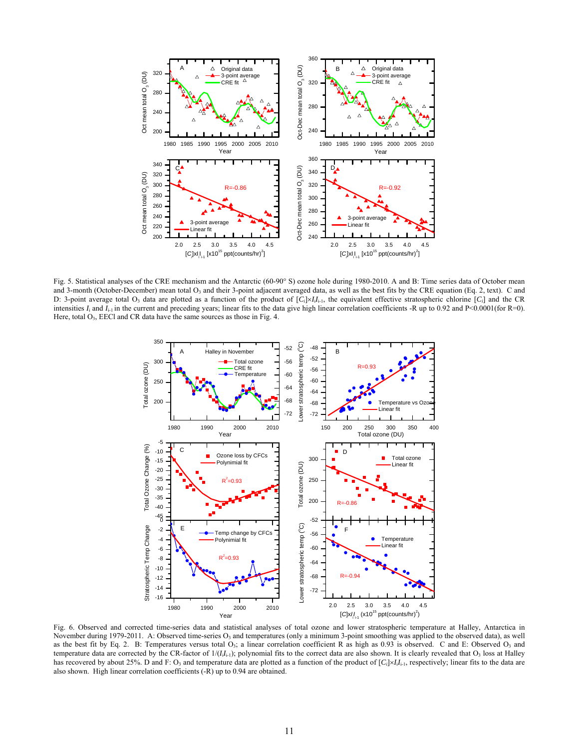

Fig. 5. Statistical analyses of the CRE mechanism and the Antarctic (60-90° S) ozone hole during 1980-2010. A and B: Time series data of October mean and 3-month (October-December) mean total  $O_3$  and their 3-point adjacent averaged data, as well as the best fits by the CRE equation (Eq. 2, text). C and D: 3-point average total  $O_3$  data are plotted as a function of the product of  $[C_i] \times I_i I_{i-1}$ , the equivalent effective stratospheric chlorine  $[C_i]$  and the CR intensities  $I_i$  and  $I_{i-1}$  in the current and preceding years; linear fits to the data give high linear correlation coefficients -R up to 0.92 and P<0.0001(for R=0). Here, total O<sub>3</sub>, EECl and CR data have the same sources as those in Fig. 4.



Fig. 6. Observed and corrected time-series data and statistical analyses of total ozone and lower stratospheric temperature at Halley, Antarctica in November during 1979-2011. A: Observed time-series  $O<sub>3</sub>$  and temperatures (only a minimum 3-point smoothing was applied to the observed data), as well as the best fit by Eq. 2. B: Temperatures versus total  $O_3$ ; a linear correlation coefficient R as high as  $0.93$  is observed. C and E: Observed  $O_3$  and temperature data are corrected by the CR-factor of  $1/(I<sub>i</sub>I<sub>i</sub>)$ ; polynomial fits to the correct data are also shown. It is clearly revealed that  $O<sub>3</sub>$  loss at Halley has recovered by about 25%. D and F:  $O_3$  and temperature data are plotted as a function of the product of  $[C_i] \times I_i I_{i-1}$ , respectively; linear fits to the data are also shown. High linear correlation coefficients (-R) up to 0.94 are obtained.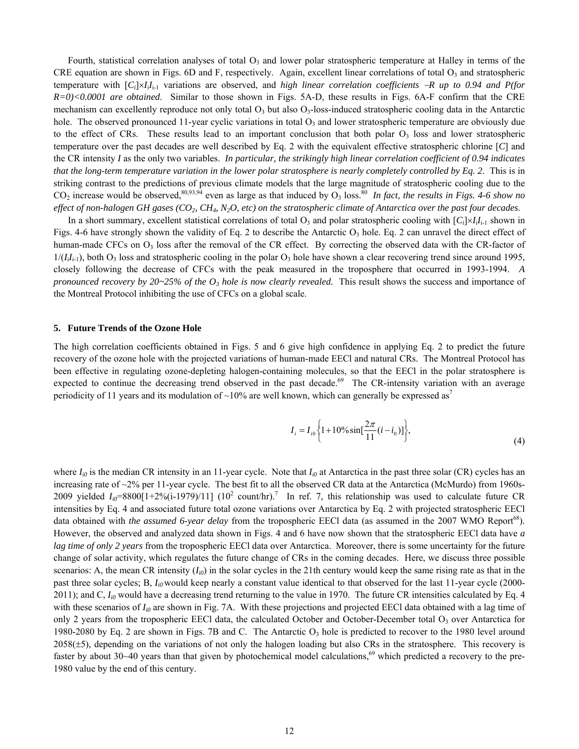Fourth, statistical correlation analyses of total  $O_3$  and lower polar stratospheric temperature at Halley in terms of the CRE equation are shown in Figs. 6D and F, respectively. Again, excellent linear correlations of total  $O<sub>3</sub>$  and stratospheric temperature with  $[C_i] \times I_i I_{i-1}$  variations are observed, and *high linear correlation coefficients*  $-R$  *up to 0.94 and P(for R=0)<0.0001 are obtained*. Similar to those shown in Figs. 5A-D, these results in Figs. 6A-F confirm that the CRE mechanism can excellently reproduce not only total  $O_3$  but also  $O_3$ -loss-induced stratospheric cooling data in the Antarctic hole. The observed pronounced 11-year cyclic variations in total  $O_3$  and lower stratospheric temperature are obviously due to the effect of CRs. These results lead to an important conclusion that both polar  $O<sub>3</sub>$  loss and lower stratospheric temperature over the past decades are well described by Eq. 2 with the equivalent effective stratospheric chlorine [*C*] and the CR intensity *I* as the only two variables. *In particular, the strikingly high linear correlation coefficient of 0.94 indicates that the long-term temperature variation in the lower polar stratosphere is nearly completely controlled by Eq. 2*. This is in striking contrast to the predictions of previous climate models that the large magnitude of stratospheric cooling due to the  $CO_2$  increase would be observed,  $80,93,94$  even as large as that induced by  $O_3$  loss.<sup>80</sup> *In fact, the results in Figs. 4-6 show no effect of non-halogen GH gases (CO2, CH4, N2O, etc) on the stratospheric climate of Antarctica over the past four decades*.

In a short summary, excellent statistical correlations of total  $O_3$  and polar stratospheric cooling with  $[C_i] \times I_i I_{i-1}$  shown in Figs. 4-6 have strongly shown the validity of Eq. 2 to describe the Antarctic  $O_3$  hole. Eq. 2 can unravel the direct effect of human-made CFCs on  $O_3$  loss after the removal of the CR effect. By correcting the observed data with the CR-factor of  $1/(I<sub>i-1</sub>)$ , both O<sub>3</sub> loss and stratospheric cooling in the polar O<sub>3</sub> hole have shown a clear recovering trend since around 1995, closely following the decrease of CFCs with the peak measured in the troposphere that occurred in 1993-1994. *A pronounced recovery by 20~25% of the O3 hole is now clearly revealed.* This result shows the success and importance of the Montreal Protocol inhibiting the use of CFCs on a global scale.

## **5. Future Trends of the Ozone Hole**

The high correlation coefficients obtained in Figs. 5 and 6 give high confidence in applying Eq. 2 to predict the future recovery of the ozone hole with the projected variations of human-made EECl and natural CRs. The Montreal Protocol has been effective in regulating ozone-depleting halogen-containing molecules, so that the EECl in the polar stratosphere is expected to continue the decreasing trend observed in the past decade.<sup>69</sup> The CR-intensity variation with an average periodicity of 11 years and its modulation of  $\sim$ 10% are well known, which can generally be expressed as<sup>7</sup>

$$
I_{i} = I_{i0} \left\{ 1 + 10\% \sin\left[\frac{2\pi}{11}(i - i_{0})\right] \right\},\tag{4}
$$

where  $I_{i0}$  is the median CR intensity in an 11-year cycle. Note that  $I_{i0}$  at Antarctica in the past three solar (CR) cycles has an increasing rate of  $\sim$ 2% per 11-year cycle. The best fit to all the observed CR data at the Antarctica (McMurdo) from 1960s-2009 yielded  $I_{i0}$ =8800[1+2%(i-1979)/11] (10<sup>2</sup> count/hr).<sup>7</sup> In ref. 7, this relationship was used to calculate future CR intensities by Eq. 4 and associated future total ozone variations over Antarctica by Eq. 2 with projected stratospheric EECl data obtained with *the assumed 6-year delay* from the tropospheric EECI data (as assumed in the 2007 WMO Report<sup>68</sup>). However, the observed and analyzed data shown in Figs. 4 and 6 have now shown that the stratospheric EECl data have *a lag time of only 2 years* from the tropospheric EECl data over Antarctica. Moreover, there is some uncertainty for the future change of solar activity, which regulates the future change of CRs in the coming decades. Here, we discuss three possible scenarios: A, the mean CR intensity  $(I_{i0})$  in the solar cycles in the 21th century would keep the same rising rate as that in the past three solar cycles; B,  $I_{i0}$  would keep nearly a constant value identical to that observed for the last 11-year cycle (2000-2011); and C,  $I_{i0}$  would have a decreasing trend returning to the value in 1970. The future CR intensities calculated by Eq. 4 with these scenarios of  $I_{io}$  are shown in Fig. 7A. With these projections and projected EECI data obtained with a lag time of only 2 years from the tropospheric EECl data, the calculated October and October-December total  $O_3$  over Antarctica for 1980-2080 by Eq. 2 are shown in Figs. 7B and C. The Antarctic  $O<sub>3</sub>$  hole is predicted to recover to the 1980 level around  $2058(\pm 5)$ , depending on the variations of not only the halogen loading but also CRs in the stratosphere. This recovery is faster by about 30~40 years than that given by photochemical model calculations, $69$  which predicted a recovery to the pre-1980 value by the end of this century.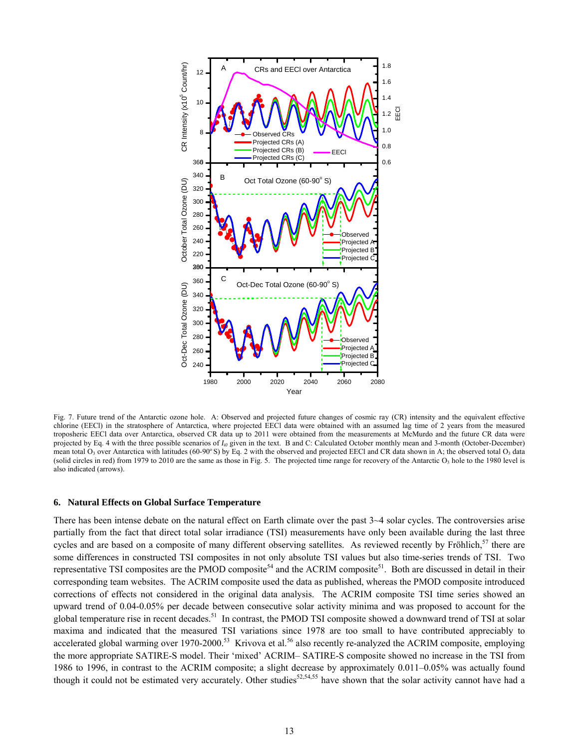

Fig. 7. Future trend of the Antarctic ozone hole. A: Observed and projected future changes of cosmic ray (CR) intensity and the equivalent effective chlorine (EECl) in the stratosphere of Antarctica, where projected EECl data were obtained with an assumed lag time of 2 years from the measured troposheric EECl data over Antarctica, observed CR data up to 2011 were obtained from the measurements at McMurdo and the future CR data were projected by Eq. 4 with the three possible scenarios of  $I_{i0}$  given in the text. B and C: Calculated October monthly mean and 3-month (October-December) mean total  $O_3$  over Antarctica with latitudes (60-90° S) by Eq. 2 with the observed and projected EECl and CR data shown in A; the observed total  $O_3$  data (solid circles in red) from 1979 to 2010 are the same as those in Fig. 5. The projected time range for recovery of the Antarctic  $O<sub>3</sub>$  hole to the 1980 level is also indicated (arrows).

## **6. Natural Effects on Global Surface Temperature**

There has been intense debate on the natural effect on Earth climate over the past  $3\n-4$  solar cycles. The controversies arise partially from the fact that direct total solar irradiance (TSI) measurements have only been available during the last three cycles and are based on a composite of many different observing satellites. As reviewed recently by Fröhlich, $57$  there are some differences in constructed TSI composites in not only absolute TSI values but also time-series trends of TSI. Two representative TSI composites are the PMOD composite<sup>54</sup> and the ACRIM composite<sup>51</sup>. Both are discussed in detail in their corresponding team websites. The ACRIM composite used the data as published, whereas the PMOD composite introduced corrections of effects not considered in the original data analysis. The ACRIM composite TSI time series showed an upward trend of 0.04-0.05% per decade between consecutive solar activity minima and was proposed to account for the global temperature rise in recent decades.<sup>51</sup> In contrast, the PMOD TSI composite showed a downward trend of TSI at solar maxima and indicated that the measured TSI variations since 1978 are too small to have contributed appreciably to accelerated global warming over 1970-2000.<sup>53</sup> Krivova et al.<sup>56</sup> also recently re-analyzed the ACRIM composite, employing the more appropriate SATIRE-S model. Their 'mixed' ACRIM– SATIRE-S composite showed no increase in the TSI from 1986 to 1996, in contrast to the ACRIM composite; a slight decrease by approximately 0.011–0.05% was actually found though it could not be estimated very accurately. Other studies<sup>52,54,55</sup> have shown that the solar activity cannot have had a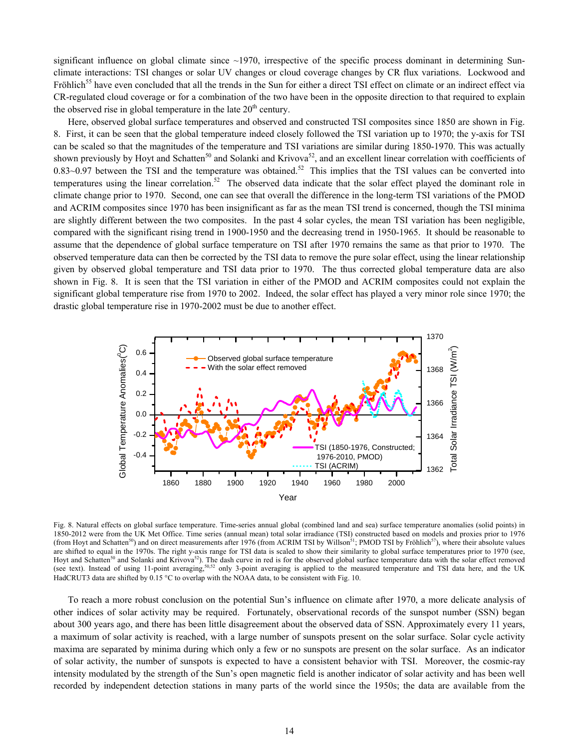significant influence on global climate since  $\sim$ 1970, irrespective of the specific process dominant in determining Sunclimate interactions: TSI changes or solar UV changes or cloud coverage changes by CR flux variations. Lockwood and Fröhlich<sup>55</sup> have even concluded that all the trends in the Sun for either a direct TSI effect on climate or an indirect effect via CR-regulated cloud coverage or for a combination of the two have been in the opposite direction to that required to explain the observed rise in global temperature in the late  $20<sup>th</sup>$  century.

Here, observed global surface temperatures and observed and constructed TSI composites since 1850 are shown in Fig. 8. First, it can be seen that the global temperature indeed closely followed the TSI variation up to 1970; the y-axis for TSI can be scaled so that the magnitudes of the temperature and TSI variations are similar during 1850-1970. This was actually shown previously by Hoyt and Schatten<sup>50</sup> and Solanki and Krivova<sup>52</sup>, and an excellent linear correlation with coefficients of 0.83~0.97 between the TSI and the temperature was obtained.<sup>52</sup> This implies that the TSI values can be converted into temperatures using the linear correlation.<sup>52</sup> The observed data indicate that the solar effect played the dominant role in climate change prior to 1970. Second, one can see that overall the difference in the long-term TSI variations of the PMOD and ACRIM composites since 1970 has been insignificant as far as the mean TSI trend is concerned, though the TSI minima are slightly different between the two composites. In the past 4 solar cycles, the mean TSI variation has been negligible, compared with the significant rising trend in 1900-1950 and the decreasing trend in 1950-1965. It should be reasonable to assume that the dependence of global surface temperature on TSI after 1970 remains the same as that prior to 1970. The observed temperature data can then be corrected by the TSI data to remove the pure solar effect, using the linear relationship given by observed global temperature and TSI data prior to 1970. The thus corrected global temperature data are also shown in Fig. 8. It is seen that the TSI variation in either of the PMOD and ACRIM composites could not explain the significant global temperature rise from 1970 to 2002. Indeed, the solar effect has played a very minor role since 1970; the drastic global temperature rise in 1970-2002 must be due to another effect.



Fig. 8. Natural effects on global surface temperature. Time-series annual global (combined land and sea) surface temperature anomalies (solid points) in 1850-2012 were from the UK Met Office. Time series (annual mean) total solar irradiance (TSI) constructed based on models and proxies prior to 1976 (from Hoyt and Schatten<sup>50</sup>) and on direct measurements after 1976 (from ACRIM TSI by Willson<sup>51</sup>; PMOD TSI by Fröhlich<sup>57</sup>), where their absolute values are shifted to equal in the 1970s. The right y-axis range for TSI data is scaled to show their similarity to global surface temperatures prior to 1970 (see, Hoyt and Schatten<sup>50</sup> and Solanki and Krivova<sup>52</sup>). The dash curve in red is for the observed global surface temperature data with the solar effect removed (see text). Instead of using 11-point averaging,<sup>50,52</sup> only 3-point averaging is applied to the measured temperature and TSI data here, and the UK HadCRUT3 data are shifted by  $0.15 \degree$ C to overlap with the NOAA data, to be consistent with Fig. 10.

To reach a more robust conclusion on the potential Sun's influence on climate after 1970, a more delicate analysis of other indices of solar activity may be required. Fortunately, observational records of the sunspot number (SSN) began about 300 years ago, and there has been little disagreement about the observed data of SSN. Approximately every 11 years, a maximum of solar activity is reached, with a large number of sunspots present on the solar surface. Solar cycle activity maxima are separated by minima during which only a few or no sunspots are present on the solar surface. As an indicator of solar activity, the number of sunspots is expected to have a consistent behavior with TSI. Moreover, the cosmic-ray intensity modulated by the strength of the Sun's open magnetic field is another indicator of solar activity and has been well recorded by independent detection stations in many parts of the world since the 1950s; the data are available from the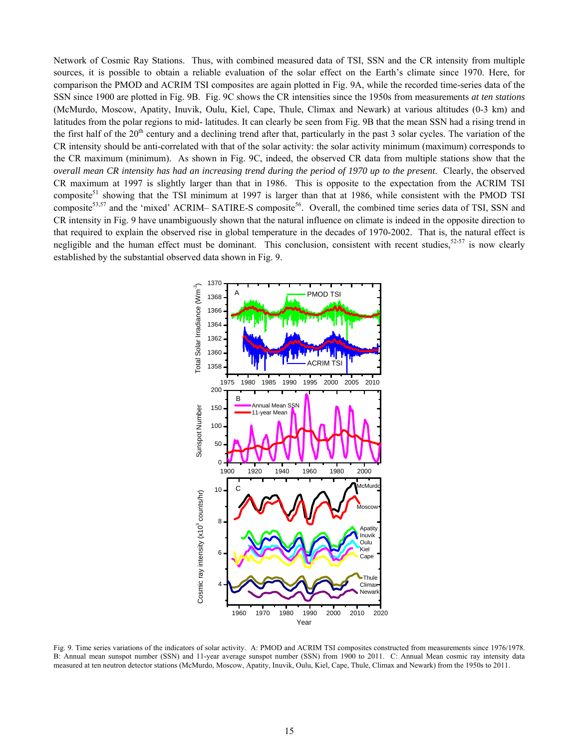Network of Cosmic Ray Stations. Thus, with combined measured data of TSI, SSN and the CR intensity from multiple sources, it is possible to obtain a reliable evaluation of the solar effect on the Earth's climate since 1970. Here, for comparison the PMOD and ACRIM TSI composites are again plotted in Fig. 9A, while the recorded time-series data of the SSN since 1900 are plotted in Fig. 9B. Fig. 9C shows the CR intensities since the 1950s from measurements *at ten stations* (McMurdo, Moscow, Apatity, Inuvik, Oulu, Kiel, Cape, Thule, Climax and Newark) at various altitudes (0-3 km) and latitudes from the polar regions to mid- latitudes. It can clearly be seen from Fig. 9B that the mean SSN had a rising trend in the first half of the  $20<sup>th</sup>$  century and a declining trend after that, particularly in the past 3 solar cycles. The variation of the CR intensity should be anti-correlated with that of the solar activity: the solar activity minimum (maximum) corresponds to the CR maximum (minimum). As shown in Fig. 9C, indeed, the observed CR data from multiple stations show that the *overall mean CR intensity has had an increasing trend during the period of 1970 up to the present*. Clearly, the observed CR maximum at 1997 is slightly larger than that in 1986. This is opposite to the expectation from the ACRIM TSI composite<sup>51</sup> showing that the TSI minimum at 1997 is larger than that at 1986, while consistent with the PMOD TSI composite<sup>53,57</sup> and the 'mixed' ACRIM– SATIRE-S composite<sup>56</sup>. Overall, the combined time series data of TSI, SSN and CR intensity in Fig. 9 have unambiguously shown that the natural influence on climate is indeed in the opposite direction to that required to explain the observed rise in global temperature in the decades of 1970-2002. That is, the natural effect is negligible and the human effect must be dominant. This conclusion, consistent with recent studies,<sup>52-57</sup> is now clearly established by the substantial observed data shown in Fig. 9.



Fig. 9. Time series variations of the indicators of solar activity. A: PMOD and ACRIM TSI composites constructed from measurements since 1976/1978. B: Annual mean sunspot number (SSN) and 11-year average sunspot number (SSN) from 1900 to 2011. C: Annual Mean cosmic ray intensity data measured at ten neutron detector stations (McMurdo, Moscow, Apatity, Inuvik, Oulu, Kiel, Cape, Thule, Climax and Newark) from the 1950s to 2011.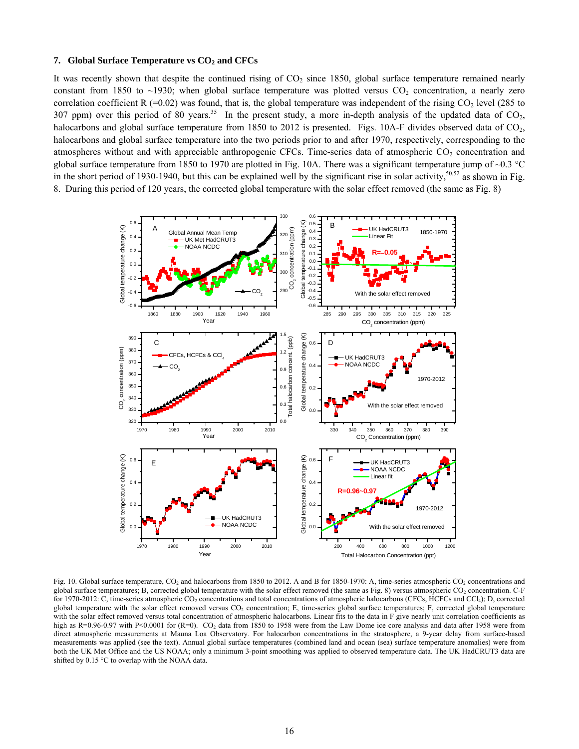#### 7. Global Surface Temperature vs  $CO<sub>2</sub>$  and CFCs

It was recently shown that despite the continued rising of  $CO<sub>2</sub>$  since 1850, global surface temperature remained nearly constant from 1850 to  $\sim$ 1930; when global surface temperature was plotted versus CO<sub>2</sub> concentration, a nearly zero correlation coefficient R  $(=0.02)$  was found, that is, the global temperature was independent of the rising  $CO<sub>2</sub>$  level (285 to 307 ppm) over this period of 80 years.<sup>35</sup> In the present study, a more in-depth analysis of the updated data of  $CO<sub>2</sub>$ , halocarbons and global surface temperature from 1850 to 2012 is presented. Figs. 10A-F divides observed data of  $CO<sub>2</sub>$ , halocarbons and global surface temperature into the two periods prior to and after 1970, respectively, corresponding to the atmospheres without and with appreciable anthropogenic CFCs. Time-series data of atmospheric  $CO<sub>2</sub>$  concentration and global surface temperature from 1850 to 1970 are plotted in Fig. 10A. There was a significant temperature jump of  $\sim 0.3$  °C in the short period of 1930-1940, but this can be explained well by the significant rise in solar activity,  $50,52$  as shown in Fig. 8. During this period of 120 years, the corrected global temperature with the solar effect removed (the same as Fig. 8)



Fig. 10. Global surface temperature, CO<sub>2</sub> and halocarbons from 1850 to 2012. A and B for 1850-1970: A, time-series atmospheric CO<sub>2</sub> concentrations and global surface temperatures; B, corrected global temperature with the solar effect removed (the same as Fig. 8) versus atmospheric CO<sub>2</sub> concentration. C-F for 1970-2012: C, time-series atmospheric CO<sub>2</sub> concentrations and total concentrations of atmospheric halocarbons (CFCs, HCFCs and CCl<sub>4</sub>); D, corrected global temperature with the solar effect removed versus  $CO<sub>2</sub>$  concentration; E, time-series global surface temperatures; F, corrected global temperature with the solar effect removed versus total concentration of atmospheric halocarbons. Linear fits to the data in F give nearly unit correlation coefficients as high as R=0.96-0.97 with P<0.0001 for (R=0). CO<sub>2</sub> data from 1850 to 1958 were from the Law Dome ice core analysis and data after 1958 were from direct atmospheric measurements at Mauna Loa Observatory. For halocarbon concentrations in the stratosphere, a 9-year delay from surface-based measurements was applied (see the text). Annual global surface temperatures (combined land and ocean (sea) surface temperature anomalies) were from both the UK Met Office and the US NOAA; only a minimum 3-point smoothing was applied to observed temperature data. The UK HadCRUT3 data are shifted by  $0.15 \,^{\circ}\text{C}$  to overlap with the NOAA data.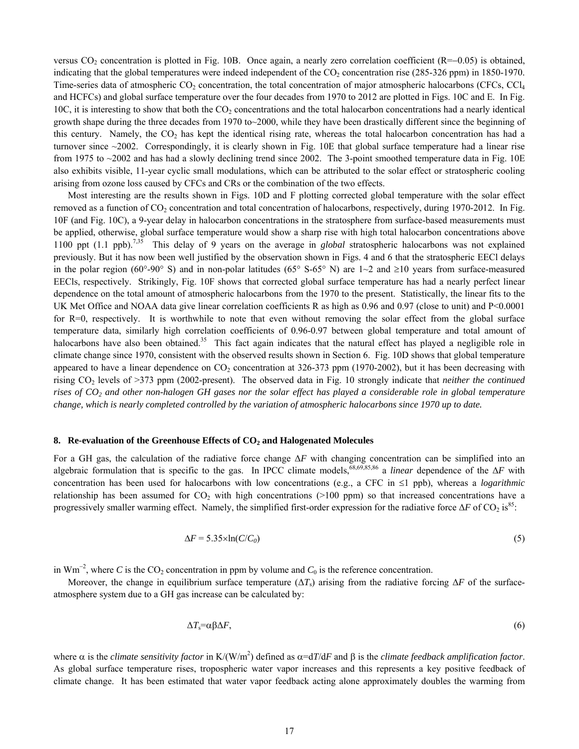versus  $CO_2$  concentration is plotted in Fig. 10B. Once again, a nearly zero correlation coefficient (R=-0.05) is obtained, indicating that the global temperatures were indeed independent of the CO<sub>2</sub> concentration rise (285-326 ppm) in 1850-1970. Time-series data of atmospheric  $CO_2$  concentration, the total concentration of major atmospheric halocarbons (CFCs, CCl<sub>4</sub> and HCFCs) and global surface temperature over the four decades from 1970 to 2012 are plotted in Figs. 10C and E. In Fig. 10C, it is interesting to show that both the CO<sub>2</sub> concentrations and the total halocarbon concentrations had a nearly identical growth shape during the three decades from 1970 to~2000, while they have been drastically different since the beginning of this century. Namely, the  $CO<sub>2</sub>$  has kept the identical rising rate, whereas the total halocarbon concentration has had a turnover since ~2002. Correspondingly, it is clearly shown in Fig. 10E that global surface temperature had a linear rise from 1975 to  $\sim$ 2002 and has had a slowly declining trend since 2002. The 3-point smoothed temperature data in Fig. 10E also exhibits visible, 11-year cyclic small modulations, which can be attributed to the solar effect or stratospheric cooling arising from ozone loss caused by CFCs and CRs or the combination of the two effects.

Most interesting are the results shown in Figs. 10D and F plotting corrected global temperature with the solar effect removed as a function of  $CO<sub>2</sub>$  concentration and total concentration of halocarbons, respectively, during 1970-2012. In Fig. 10F (and Fig. 10C), a 9-year delay in halocarbon concentrations in the stratosphere from surface-based measurements must be applied, otherwise, global surface temperature would show a sharp rise with high total halocarbon concentrations above 1100 ppt (1.1 ppb).7,35 This delay of 9 years on the average in *global* stratospheric halocarbons was not explained previously. But it has now been well justified by the observation shown in Figs. 4 and 6 that the stratospheric EECl delays in the polar region (60°-90° S) and in non-polar latitudes (65° S-65° N) are  $1\sim 2$  and  $\ge 10$  years from surface-measured EECls, respectively. Strikingly, Fig. 10F shows that corrected global surface temperature has had a nearly perfect linear dependence on the total amount of atmospheric halocarbons from the 1970 to the present. Statistically, the linear fits to the UK Met Office and NOAA data give linear correlation coefficients R as high as 0.96 and 0.97 (close to unit) and P<0.0001 for R=0, respectively. It is worthwhile to note that even without removing the solar effect from the global surface temperature data, similarly high correlation coefficients of 0.96-0.97 between global temperature and total amount of halocarbons have also been obtained.<sup>35</sup> This fact again indicates that the natural effect has played a negligible role in climate change since 1970, consistent with the observed results shown in Section 6. Fig. 10D shows that global temperature appeared to have a linear dependence on  $CO<sub>2</sub>$  concentration at 326-373 ppm (1970-2002), but it has been decreasing with rising CO2 levels of >373 ppm (2002-present). The observed data in Fig. 10 strongly indicate that *neither the continued rises of CO2 and other non-halogen GH gases nor the solar effect has played a considerable role in global temperature change, which is nearly completed controlled by the variation of atmospheric halocarbons since 1970 up to date.*

## 8. Re-evaluation of the Greenhouse Effects of CO<sub>2</sub> and Halogenated Molecules

For a GH gas, the calculation of the radiative force change Δ*F* with changing concentration can be simplified into an algebraic formulation that is specific to the gas. In IPCC climate models,68,69,85,86 a *linear* dependence of the Δ*F* with concentration has been used for halocarbons with low concentrations (e.g., a CFC in  $\leq 1$  ppb), whereas a *logarithmic* relationship has been assumed for  $CO<sub>2</sub>$  with high concentrations ( $>100$  ppm) so that increased concentrations have a progressively smaller warming effect. Namely, the simplified first-order expression for the radiative force  $\Delta F$  of CO<sub>2</sub> is<sup>85</sup>:

$$
\Delta F = 5.35 \times \ln(C/C_0) \tag{5}
$$

in  $Wm^{-2}$ , where *C* is the CO<sub>2</sub> concentration in ppm by volume and  $C_0$  is the reference concentration.

Moreover, the change in equilibrium surface temperature ( $\Delta T_s$ ) arising from the radiative forcing  $\Delta F$  of the surfaceatmosphere system due to a GH gas increase can be calculated by:

$$
\Delta T_{\rm s} = \alpha \beta \Delta F,\tag{6}
$$

where  $\alpha$  is the *climate sensitivity factor* in K/(W/m<sup>2</sup>) defined as  $\alpha = dT/dF$  and  $\beta$  is the *climate feedback amplification factor*. As global surface temperature rises, tropospheric water vapor increases and this represents a key positive feedback of climate change. It has been estimated that water vapor feedback acting alone approximately doubles the warming from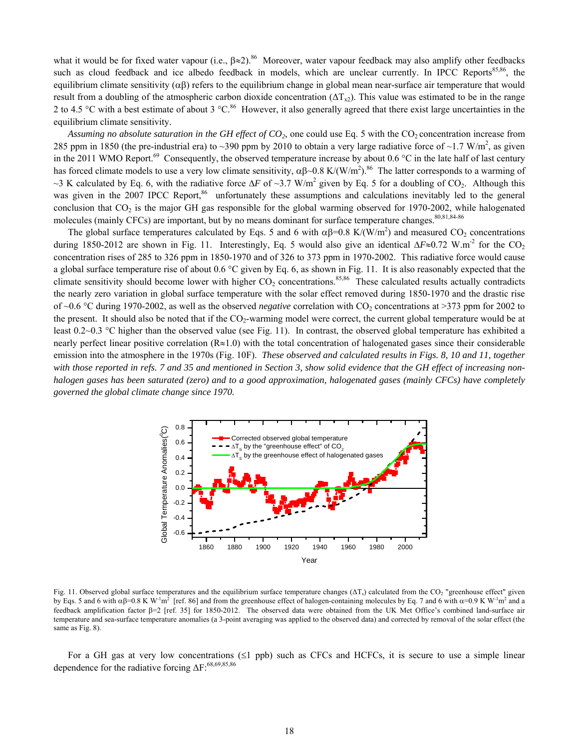what it would be for fixed water vapour (i.e.,  $\beta \approx 2$ ).<sup>86</sup> Moreover, water vapour feedback may also amplify other feedbacks such as cloud feedback and ice albedo feedback in models, which are unclear currently. In IPCC Reports<sup>85,86</sup>, the equilibrium climate sensitivity  $(\alpha\beta)$  refers to the equilibrium change in global mean near-surface air temperature that would result from a doubling of the atmospheric carbon dioxide concentration  $(\Delta T_{x2})$ . This value was estimated to be in the range 2 to 4.5 °C with a best estimate of about 3 °C.<sup>86</sup> However, it also generally agreed that there exist large uncertainties in the equilibrium climate sensitivity.

*Assuming no absolute saturation in the GH effect of*  $CO<sub>2</sub>$ *,* one could use Eq. 5 with the  $CO<sub>2</sub>$  concentration increase from 285 ppm in 1850 (the pre-industrial era) to ~390 ppm by 2010 to obtain a very large radiative force of ~1.7 W/m<sup>2</sup>, as given in the 2011 WMO Report.<sup>69</sup> Consequently, the observed temperature increase by about 0.6 °C in the late half of last century has forced climate models to use a very low climate sensitivity,  $\alpha\beta \sim 0.8 \text{ K/(W/m}^2)$ .<sup>86</sup> The latter corresponds to a warming of  $\sim$ 3 K calculated by Eq. 6, with the radiative force  $\Delta F$  of  $\sim$ 3.7 W/m<sup>2</sup> given by Eq. 5 for a doubling of CO<sub>2</sub>. Although this was given in the 2007 IPCC Report,<sup>86</sup> unfortunately these assumptions and calculations inevitably led to the general conclusion that  $CO<sub>2</sub>$  is the major GH gas responsible for the global warming observed for 1970-2002, while halogenated molecules (mainly CFCs) are important, but by no means dominant for surface temperature changes. <sup>80,81,84-86</sup>

The global surface temperatures calculated by Eqs. 5 and 6 with  $\alpha\beta$ =0.8 K/(W/m<sup>2</sup>) and measured CO<sub>2</sub> concentrations during 1850-2012 are shown in Fig. 11. Interestingly, Eq. 5 would also give an identical  $\Delta F \approx 0.72$  W.m<sup>-2</sup> for the CO<sub>2</sub> concentration rises of 285 to 326 ppm in 1850-1970 and of 326 to 373 ppm in 1970-2002. This radiative force would cause a global surface temperature rise of about 0.6  $^{\circ}$ C given by Eq. 6, as shown in Fig. 11. It is also reasonably expected that the climate sensitivity should become lower with higher  $CO_2$  concentrations.<sup>85,86</sup> These calculated results actually contradicts the nearly zero variation in global surface temperature with the solar effect removed during 1850-1970 and the drastic rise of ~0.6 °C during 1970-2002, as well as the observed *negative* correlation with CO<sub>2</sub> concentrations at >373 ppm for 2002 to the present. It should also be noted that if the  $CO<sub>2</sub>$ -warming model were correct, the current global temperature would be at least  $0.2~0.3$  °C higher than the observed value (see Fig. 11). In contrast, the observed global temperature has exhibited a nearly perfect linear positive correlation  $(R \approx 1.0)$  with the total concentration of halogenated gases since their considerable emission into the atmosphere in the 1970s (Fig. 10F). *These observed and calculated results in Figs. 8, 10 and 11, together with those reported in refs. 7 and 35 and mentioned in Section 3, show solid evidence that the GH effect of increasing nonhalogen gases has been saturated (zero) and to a good approximation, halogenated gases (mainly CFCs) have completely governed the global climate change since 1970.*



Fig. 11. Observed global surface temperatures and the equilibrium surface temperature changes  $(\Delta T_s)$  calculated from the CO<sub>2</sub> "greenhouse effect" given by Eqs. 5 and 6 with  $\alpha\beta$ =0.8 K W<sup>-1</sup>m<sup>2</sup> [ref. 86] and from the greenhouse effect of halogen-containing molecules by Eq. 7 and 6 with  $\alpha$ =0.9 K W<sup>-1</sup>m<sup>2</sup> and a feedback amplification factor  $\beta = 2$  [ref. 35] for 1850-2012. The observed data were obtained from the UK Met Office's combined land-surface air temperature and sea-surface temperature anomalies (a 3-point averaging was applied to the observed data) and corrected by removal of the solar effect (the same as Fig. 8).

For a GH gas at very low concentrations  $(\leq 1$  ppb) such as CFCs and HCFCs, it is secure to use a simple linear dependence for the radiative forcing  $\Delta F$ :<sup>68,69,85,86</sup>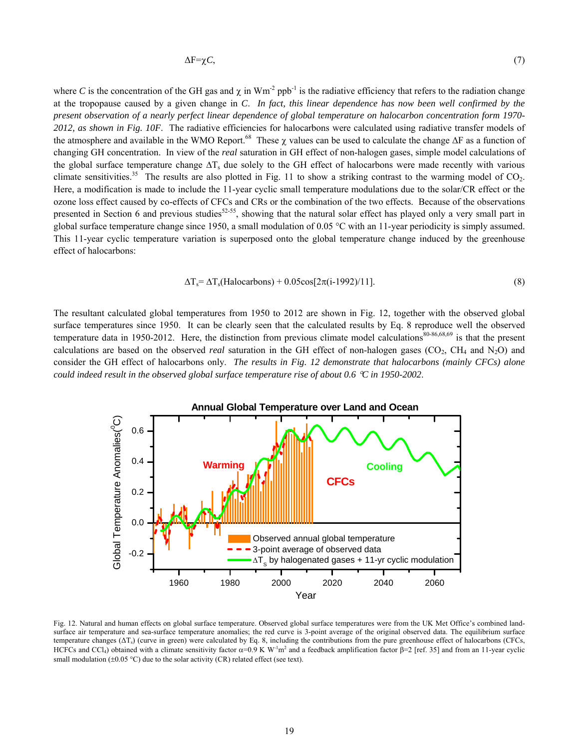$$
\Delta F = \chi C, \tag{7}
$$

where *C* is the concentration of the GH gas and  $\chi$  in Wm<sup>-2</sup> ppb<sup>-1</sup> is the radiative efficiency that refers to the radiation change at the tropopause caused by a given change in *C*. *In fact, this linear dependence has now been well confirmed by the present observation of a nearly perfect linear dependence of global temperature on halocarbon concentration form 1970- 2012, as shown in Fig. 10F*. The radiative efficiencies for halocarbons were calculated using radiative transfer models of the atmosphere and available in the WMO Report.<sup>68</sup> These  $\chi$  values can be used to calculate the change  $\Delta F$  as a function of changing GH concentration. In view of the *real* saturation in GH effect of non-halogen gases, simple model calculations of the global surface temperature change  $\Delta T_s$  due solely to the GH effect of halocarbons were made recently with various climate sensitivities.<sup>35</sup> The results are also plotted in Fig. 11 to show a striking contrast to the warming model of  $CO<sub>2</sub>$ . Here, a modification is made to include the 11-year cyclic small temperature modulations due to the solar/CR effect or the ozone loss effect caused by co-effects of CFCs and CRs or the combination of the two effects. Because of the observations presented in Section 6 and previous studies<sup>52-55</sup>, showing that the natural solar effect has played only a very small part in global surface temperature change since 1950, a small modulation of 0.05 °C with an 11-year periodicity is simply assumed. This 11-year cyclic temperature variation is superposed onto the global temperature change induced by the greenhouse effect of halocarbons:

$$
\Delta T_s = \Delta T_s (Halocarbons) + 0.05 \cos[2\pi(i-1992)/11]. \tag{8}
$$

The resultant calculated global temperatures from 1950 to 2012 are shown in Fig. 12, together with the observed global surface temperatures since 1950. It can be clearly seen that the calculated results by Eq. 8 reproduce well the observed temperature data in 1950-2012. Here, the distinction from previous climate model calculations $80-86,68,69$  is that the present calculations are based on the observed *real* saturation in the GH effect of non-halogen gases ( $CO_2$ ,  $CH_4$  and  $N_2O$ ) and consider the GH effect of halocarbons only. *The results in Fig. 12 demonstrate that halocarbons (mainly CFCs) alone could indeed result in the observed global surface temperature rise of about 0.6 C in 1950-2002*.



Fig. 12. Natural and human effects on global surface temperature. Observed global surface temperatures were from the UK Met Office's combined landsurface air temperature and sea-surface temperature anomalies; the red curve is 3-point average of the original observed data. The equilibrium surface temperature changes  $(\Delta T_s)$  (curve in green) were calculated by Eq. 8, including the contributions from the pure greenhouse effect of halocarbons (CFCs, HCFCs and CCl<sub>4</sub>) obtained with a climate sensitivity factor  $\alpha=0.9$  K W<sup>-1</sup>m<sup>2</sup> and a feedback amplification factor  $\beta=2$  [ref. 35] and from an 11-year cyclic small modulation ( $\pm 0.05$  °C) due to the solar activity (CR) related effect (see text).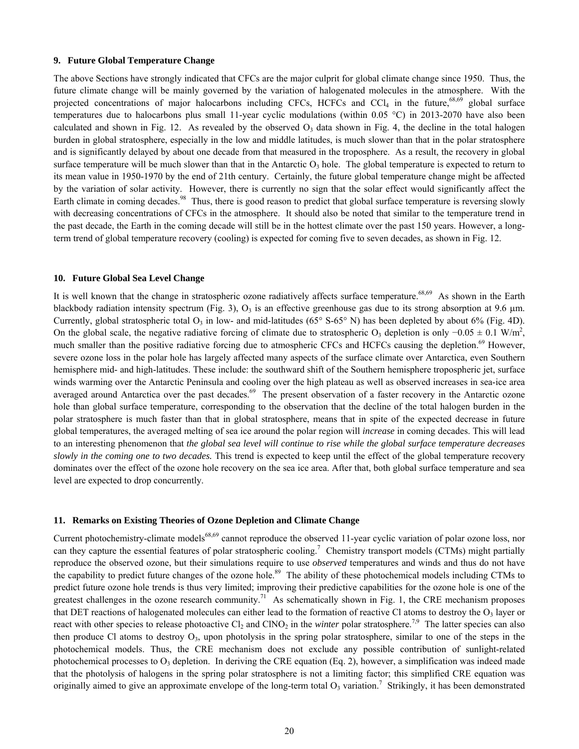## **9. Future Global Temperature Change**

The above Sections have strongly indicated that CFCs are the major culprit for global climate change since 1950. Thus, the future climate change will be mainly governed by the variation of halogenated molecules in the atmosphere. With the projected concentrations of major halocarbons including CFCs, HCFCs and CCl<sub>4</sub> in the future,<sup>68,69</sup> global surface temperatures due to halocarbons plus small 11-year cyclic modulations (within 0.05 °C) in 2013-2070 have also been calculated and shown in Fig. 12. As revealed by the observed  $O<sub>3</sub>$  data shown in Fig. 4, the decline in the total halogen burden in global stratosphere, especially in the low and middle latitudes, is much slower than that in the polar stratosphere and is significantly delayed by about one decade from that measured in the troposphere. As a result, the recovery in global surface temperature will be much slower than that in the Antarctic  $O_3$  hole. The global temperature is expected to return to its mean value in 1950-1970 by the end of 21th century. Certainly, the future global temperature change might be affected by the variation of solar activity. However, there is currently no sign that the solar effect would significantly affect the Earth climate in coming decades.<sup>98</sup> Thus, there is good reason to predict that global surface temperature is reversing slowly with decreasing concentrations of CFCs in the atmosphere. It should also be noted that similar to the temperature trend in the past decade, the Earth in the coming decade will still be in the hottest climate over the past 150 years. However, a longterm trend of global temperature recovery (cooling) is expected for coming five to seven decades, as shown in Fig. 12.

### **10. Future Global Sea Level Change**

It is well known that the change in stratospheric ozone radiatively affects surface temperature.<sup>68,69</sup> As shown in the Earth blackbody radiation intensity spectrum (Fig. 3),  $O_3$  is an effective greenhouse gas due to its strong absorption at 9.6 µm. Currently, global stratospheric total  $O_3$  in low- and mid-latitudes (65 $\degree$  S-65 $\degree$  N) has been depleted by about 6% (Fig. 4D). On the global scale, the negative radiative forcing of climate due to stratospheric O<sub>3</sub> depletion is only  $-0.05 \pm 0.1$  W/m<sup>2</sup>, much smaller than the positive radiative forcing due to atmospheric CFCs and HCFCs causing the depletion.<sup>69</sup> However, severe ozone loss in the polar hole has largely affected many aspects of the surface climate over Antarctica, even Southern hemisphere mid- and high-latitudes. These include: the southward shift of the Southern hemisphere tropospheric jet, surface winds warming over the Antarctic Peninsula and cooling over the high plateau as well as observed increases in sea-ice area averaged around Antarctica over the past decades.<sup>69</sup> The present observation of a faster recovery in the Antarctic ozone hole than global surface temperature, corresponding to the observation that the decline of the total halogen burden in the polar stratosphere is much faster than that in global stratosphere, means that in spite of the expected decrease in future global temperatures, the averaged melting of sea ice around the polar region will *increase* in coming decades. This will lead to an interesting phenomenon that *the global sea level will continue to rise while the global surface temperature decreases slowly in the coming one to two decades.* This trend is expected to keep until the effect of the global temperature recovery dominates over the effect of the ozone hole recovery on the sea ice area. After that, both global surface temperature and sea level are expected to drop concurrently.

# **11. Remarks on Existing Theories of Ozone Depletion and Climate Change**

Current photochemistry-climate models<sup>68,69</sup> cannot reproduce the observed 11-year cyclic variation of polar ozone loss, nor can they capture the essential features of polar stratospheric cooling.<sup>7</sup> Chemistry transport models (CTMs) might partially reproduce the observed ozone, but their simulations require to use *observed* temperatures and winds and thus do not have the capability to predict future changes of the ozone hole.<sup>89</sup> The ability of these photochemical models including CTMs to predict future ozone hole trends is thus very limited; improving their predictive capabilities for the ozone hole is one of the greatest challenges in the ozone research community.<sup>71</sup> As schematically shown in Fig. 1, the CRE mechanism proposes that DET reactions of halogenated molecules can either lead to the formation of reactive Cl atoms to destroy the  $O_3$  layer or react with other species to release photoactive Cl<sub>2</sub> and ClNO<sub>2</sub> in the *winter* polar stratosphere.<sup>7,9</sup> The latter species can also then produce Cl atoms to destroy  $O_3$ , upon photolysis in the spring polar stratosphere, similar to one of the steps in the photochemical models. Thus, the CRE mechanism does not exclude any possible contribution of sunlight-related photochemical processes to  $O_3$  depletion. In deriving the CRE equation (Eq. 2), however, a simplification was indeed made that the photolysis of halogens in the spring polar stratosphere is not a limiting factor; this simplified CRE equation was originally aimed to give an approximate envelope of the long-term total  $O_3$  variation.<sup>7</sup> Strikingly, it has been demonstrated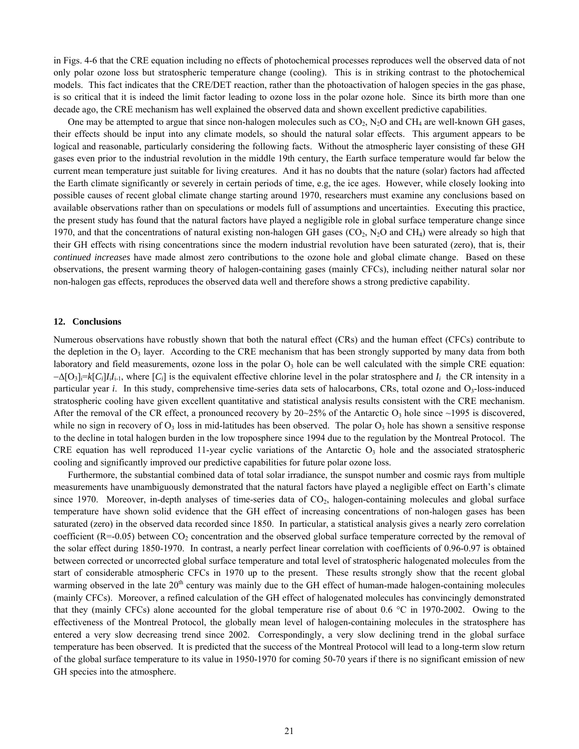in Figs. 4-6 that the CRE equation including no effects of photochemical processes reproduces well the observed data of not only polar ozone loss but stratospheric temperature change (cooling). This is in striking contrast to the photochemical models. This fact indicates that the CRE/DET reaction, rather than the photoactivation of halogen species in the gas phase, is so critical that it is indeed the limit factor leading to ozone loss in the polar ozone hole. Since its birth more than one decade ago, the CRE mechanism has well explained the observed data and shown excellent predictive capabilities.

One may be attempted to argue that since non-halogen molecules such as  $CO_2$ ,  $N_2O$  and CH<sub>4</sub> are well-known GH gases, their effects should be input into any climate models, so should the natural solar effects. This argument appears to be logical and reasonable, particularly considering the following facts. Without the atmospheric layer consisting of these GH gases even prior to the industrial revolution in the middle 19th century, the Earth surface temperature would far below the current mean temperature just suitable for living creatures. And it has no doubts that the nature (solar) factors had affected the Earth climate significantly or severely in certain periods of time, e.g, the ice ages. However, while closely looking into possible causes of recent global climate change starting around 1970, researchers must examine any conclusions based on available observations rather than on speculations or models full of assumptions and uncertainties. Executing this practice, the present study has found that the natural factors have played a negligible role in global surface temperature change since 1970, and that the concentrations of natural existing non-halogen GH gases  $(CO_2, N_2O)$  and CH<sub>4</sub>) were already so high that their GH effects with rising concentrations since the modern industrial revolution have been saturated (zero), that is, their *continued increases* have made almost zero contributions to the ozone hole and global climate change. Based on these observations, the present warming theory of halogen-containing gases (mainly CFCs), including neither natural solar nor non-halogen gas effects, reproduces the observed data well and therefore shows a strong predictive capability.

## **12. Conclusions**

Numerous observations have robustly shown that both the natural effect (CRs) and the human effect (CFCs) contribute to the depletion in the  $O_3$  layer. According to the CRE mechanism that has been strongly supported by many data from both laboratory and field measurements, ozone loss in the polar  $O<sub>3</sub>$  hole can be well calculated with the simple CRE equation:  $-\Delta[O_3]$ = $k[C_i]$ *I*<sub>i</sub> $I_{i-1}$ , where  $[C_i]$  is the equivalent effective chlorine level in the polar stratosphere and  $I_i$  the CR intensity in a particular year *i*. In this study, comprehensive time-series data sets of halocarbons, CRs, total ozone and O<sub>3</sub>-loss-induced stratospheric cooling have given excellent quantitative and statistical analysis results consistent with the CRE mechanism. After the removal of the CR effect, a pronounced recovery by  $20~25\%$  of the Antarctic O<sub>3</sub> hole since ~1995 is discovered, while no sign in recovery of  $O_3$  loss in mid-latitudes has been observed. The polar  $O_3$  hole has shown a sensitive response to the decline in total halogen burden in the low troposphere since 1994 due to the regulation by the Montreal Protocol. The CRE equation has well reproduced 11-year cyclic variations of the Antarctic  $O<sub>3</sub>$  hole and the associated stratospheric cooling and significantly improved our predictive capabilities for future polar ozone loss.

Furthermore, the substantial combined data of total solar irradiance, the sunspot number and cosmic rays from multiple measurements have unambiguously demonstrated that the natural factors have played a negligible effect on Earth's climate since 1970. Moreover, in-depth analyses of time-series data of  $CO<sub>2</sub>$ , halogen-containing molecules and global surface temperature have shown solid evidence that the GH effect of increasing concentrations of non-halogen gases has been saturated (zero) in the observed data recorded since 1850. In particular, a statistical analysis gives a nearly zero correlation coefficient  $(R=-0.05)$  between  $CO<sub>2</sub>$  concentration and the observed global surface temperature corrected by the removal of the solar effect during 1850-1970. In contrast, a nearly perfect linear correlation with coefficients of 0.96-0.97 is obtained between corrected or uncorrected global surface temperature and total level of stratospheric halogenated molecules from the start of considerable atmospheric CFCs in 1970 up to the present. These results strongly show that the recent global warming observed in the late  $20<sup>th</sup>$  century was mainly due to the GH effect of human-made halogen-containing molecules (mainly CFCs). Moreover, a refined calculation of the GH effect of halogenated molecules has convincingly demonstrated that they (mainly CFCs) alone accounted for the global temperature rise of about 0.6  $\degree$ C in 1970-2002. Owing to the effectiveness of the Montreal Protocol, the globally mean level of halogen-containing molecules in the stratosphere has entered a very slow decreasing trend since 2002. Correspondingly, a very slow declining trend in the global surface temperature has been observed. It is predicted that the success of the Montreal Protocol will lead to a long-term slow return of the global surface temperature to its value in 1950-1970 for coming 50-70 years if there is no significant emission of new GH species into the atmosphere.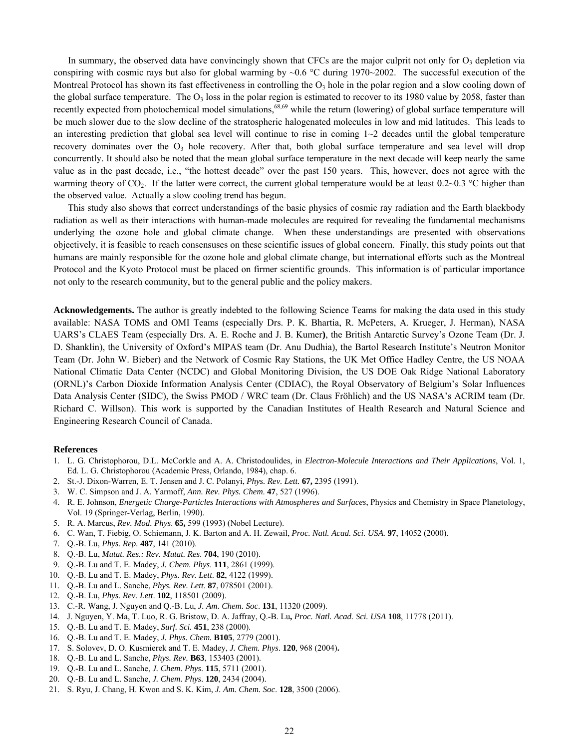In summary, the observed data have convincingly shown that CFCs are the major culprit not only for  $O_3$  depletion via conspiring with cosmic rays but also for global warming by  $\sim 0.6$  °C during 1970 $\sim$ 2002. The successful execution of the Montreal Protocol has shown its fast effectiveness in controlling the  $O_3$  hole in the polar region and a slow cooling down of the global surface temperature. The  $O_3$  loss in the polar region is estimated to recover to its 1980 value by 2058, faster than recently expected from photochemical model simulations,<sup>68,69</sup> while the return (lowering) of global surface temperature will be much slower due to the slow decline of the stratospheric halogenated molecules in low and mid latitudes. This leads to an interesting prediction that global sea level will continue to rise in coming  $1~2$  decades until the global temperature recovery dominates over the  $O_3$  hole recovery. After that, both global surface temperature and sea level will drop concurrently. It should also be noted that the mean global surface temperature in the next decade will keep nearly the same value as in the past decade, i.e., "the hottest decade" over the past 150 years. This, however, does not agree with the warming theory of CO<sub>2</sub>. If the latter were correct, the current global temperature would be at least  $0.2~0.3$  °C higher than the observed value. Actually a slow cooling trend has begun.

This study also shows that correct understandings of the basic physics of cosmic ray radiation and the Earth blackbody radiation as well as their interactions with human-made molecules are required for revealing the fundamental mechanisms underlying the ozone hole and global climate change. When these understandings are presented with observations objectively, it is feasible to reach consensuses on these scientific issues of global concern. Finally, this study points out that humans are mainly responsible for the ozone hole and global climate change, but international efforts such as the Montreal Protocol and the Kyoto Protocol must be placed on firmer scientific grounds. This information is of particular importance not only to the research community, but to the general public and the policy makers.

**Acknowledgements.** The author is greatly indebted to the following Science Teams for making the data used in this study available: NASA TOMS and OMI Teams (especially Drs. P. K. Bhartia, R. McPeters, A. Krueger, J. Herman), NASA UARS's CLAES Team (especially Drs. A. E. Roche and J. B. Kumer**)**, the British Antarctic Survey's Ozone Team (Dr. J. D. Shanklin), the University of Oxford's MIPAS team (Dr. Anu Dudhia), the Bartol Research Institute's Neutron Monitor Team (Dr. John W. Bieber) and the Network of Cosmic Ray Stations, the UK Met Office Hadley Centre, the US NOAA National Climatic Data Center (NCDC) and Global Monitoring Division, the US DOE Oak Ridge National Laboratory (ORNL)'s Carbon Dioxide Information Analysis Center (CDIAC), the Royal Observatory of Belgium's Solar Influences Data Analysis Center (SIDC), the Swiss PMOD / WRC team (Dr. Claus Fröhlich) and the US NASA's ACRIM team (Dr. Richard C. Willson). This work is supported by the Canadian Institutes of Health Research and Natural Science and Engineering Research Council of Canada.

#### **References**

- 1. L. G. Christophorou, D.L. McCorkle and A. A. Christodoulides, in *Electron-Molecule Interactions and Their Applications*, Vol. 1, Ed. L. G. Christophorou (Academic Press, Orlando, 1984), chap. 6.
- 2. St.-J. Dixon-Warren, E. T. Jensen and J. C. Polanyi, *Phys. Rev. Lett.* **67,** 2395 (1991).
- 3. W. C. Simpson and J. A. Yarmoff, *Ann. Rev. Phys. Chem*. **47**, 527 (1996).
- 4. R. E. Johnson, *Energetic Charge-Particles Interactions with Atmospheres and Surfaces*, Physics and Chemistry in Space Planetology, Vol. 19 (Springer-Verlag, Berlin, 1990).
- 5. R. A. Marcus, *Rev. Mod. Phys*. **65,** 599 (1993) (Nobel Lecture).
- 6. C. Wan, T. Fiebig, O. Schiemann, J. K. Barton and A. H. Zewail, *Proc. Natl. Acad. Sci. USA.* **97**, 14052 (2000).
- 7. Q.-B. Lu, *Phys. Rep.* **487**, 141 (2010).
- 8. Q.-B. Lu, *Mutat. Res.: Rev. Mutat. Res*. **704**, 190 (2010).
- 9. Q.-B. Lu and T. E. Madey, *J. Chem. Phys*. **111**, 2861 (1999).
- 10. Q.-B. Lu and T. E. Madey, *Phys. Rev. Lett*. **82**, 4122 (1999).
- 11. Q.-B. Lu and L. Sanche, *Phys. Rev. Lett*. **87**, 078501 (2001).
- 12. Q.-B. Lu, *Phys. Rev. Lett*. **102**, 118501 (2009).
- 13. C.-R. Wang, J. Nguyen and Q.-B. Lu, *J. Am. Chem. Soc*. **131**, 11320 (2009).
- 14. J. Nguyen, Y. Ma, T. Luo, R. G. Bristow, D. A. Jaffray, Q.-B. Lu**,** *Proc. Natl. Acad. Sci. USA* **108**, 11778 (2011).
- 15. Q.-B. Lu and T. E. Madey, *Surf. Sci.* **451**, 238 (2000).
- 16. Q.-B. Lu and T. E. Madey, *J. Phys. Chem.* **B105**, 2779 (2001).
- 17. S. Solovev, D. O. Kusmierek and T. E. Madey, *J. Chem. Phys*. **120**, 968 (2004)**.**
- 18. Q.-B. Lu and L. Sanche, *Phys. Rev.* **B63**, 153403 (2001).
- 19. Q.-B. Lu and L. Sanche, *J. Chem. Phys*. **115**, 5711 (2001).
- 20. Q.-B. Lu and L. Sanche, *J. Chem. Phys*. **120**, 2434 (2004).
- 21. S. Ryu, J. Chang, H. Kwon and S. K. Kim, *J. Am. Chem. Soc*. **128**, 3500 (2006).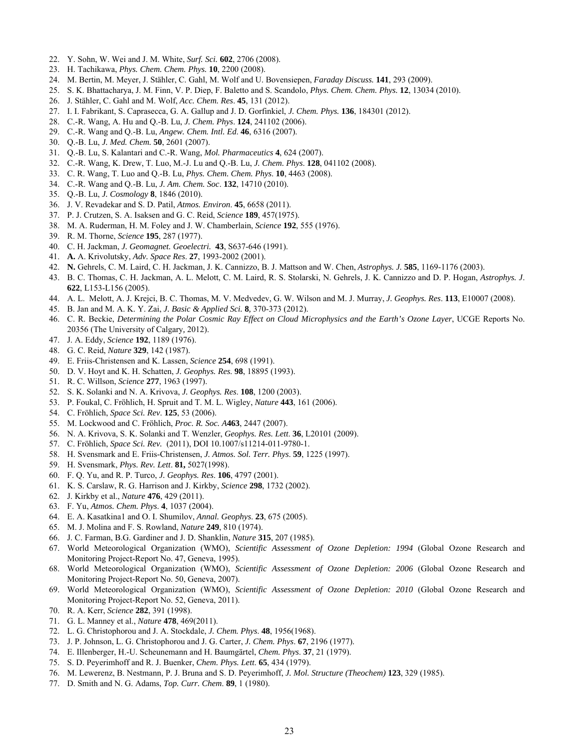- 22. Y. Sohn, W. Wei and J. M. White, *Surf. Sci.* **602**, 2706 (2008).
- 23. H. Tachikawa, *Phys. Chem. Chem. Phys.* **10**, 2200 (2008).
- 24. M. Bertin, M. Meyer, J. Stähler, C. Gahl, M. Wolf and U. Bovensiepen, *Faraday Discuss.* **141**, 293 (2009).
- 25. S. K. Bhattacharya, J. M. Finn, V. P. Diep, F. Baletto and S. Scandolo, *Phys. Chem. Chem. Phys.* **12**, 13034 (2010).
- 26. J. Stähler, C. Gahl and M. Wolf, *Acc. Chem. Res*. **45**, 131 (2012).
- 27. I. I. Fabrikant, S. Caprasecca, G. A. Gallup and J. D. Gorfinkiel, *J. Chem. Phys.* **136**, 184301 (2012).
- 28. C.-R. Wang, A. Hu and Q.-B. Lu, *J. Chem. Phys*. **124**, 241102 (2006).
- 29. C.-R. Wang and Q.-B. Lu, *Angew. Chem. Intl. Ed*. **46**, 6316 (2007).
- 30. Q.-B. Lu, *J. Med. Chem.* **50**, 2601 (2007).
- 31. Q.-B. Lu, S. Kalantari and C.-R. Wang, *Mol. Pharmaceutics* **4**, 624 (2007).
- 32. C.-R. Wang, K. Drew, T. Luo, M.-J. Lu and Q.-B. Lu, *J. Chem. Phys*. **128**, 041102 (2008).
- 33. C. R. Wang, T. Luo and Q.-B. Lu, *Phys. Chem. Chem. Phys*. **10**, 4463 (2008).
- 34. C.-R. Wang and Q.-B. Lu, *J. Am. Chem. Soc*. **132**, 14710 (2010).
- 35. Q.-B. Lu, *J. Cosmology* **8**, 1846 (2010).
- 36. J. V. Revadekar and S. D. Patil, *Atmos. Environ*. **45**, 6658 (2011).
- 37. P. J. Crutzen, S. A. Isaksen and G. C. Reid, *Science* **189**, 457(1975).
- 38. M. A. Ruderman, H. M. Foley and J. W. Chamberlain, *Science* **192**, 555 (1976).
- 39. R. M. Thorne, *Science* **195**, 287 (1977).
- 40. C. H. Jackman, *J. Geomagnet. Geoelectri.* **43**, S637-646 (1991).
- 41. **A.** A. Krivolutsky, *Adv. Space Res*. **27**, 1993-2002 (2001).
- 42. **N.** Gehrels, C. M. Laird, C. H. Jackman, J. K. Cannizzo, B. J. Mattson and W. Chen, *Astrophys. J.* **585**, 1169-1176 (2003).
- 43. B. C. Thomas, C. H. Jackman, A. L. Melott, C. M. Laird, R. S. Stolarski, N. Gehrels, J. K. Cannizzo and D. P. Hogan, *Astrophys. J*. **622**, L153-L156 (2005).
- 44. A. L. Melott, A. J. Krejci, B. C. Thomas, M. V. Medvedev, G. W. Wilson and M. J. Murray, *J. Geophys. Res*. **113**, E10007 (2008).
- 45. B. Jan and M. A. K. Y. Zai, *J. Basic & Applied Sci.* **8***,* 370-373 (2012).
- 46. C. R. Beckie, *Determining the Polar Cosmic Ray Effect on Cloud Microphysics and the Earth's Ozone Layer*, UCGE Reports No. 20356 (The University of Calgary*,* 2012).
- 47. J. A. Eddy, *Science* **192**, 1189 (1976).
- 48. G. C. Reid, *Nature* **329**, 142 (1987).
- 49. E. Friis-Christensen and K. Lassen, *Science* **254**, 698 (1991).
- 50. D. V. Hoyt and K. H. Schatten, *J. Geophys. Res*. **98**, 18895 (1993).
- 51. R. C. Willson, *Science* **277**, 1963 (1997).
- 52. S. K. Solanki and N. A. Krivova, *J. Geophys. Res*. **108**, 1200 (2003).
- 53. P. Foukal, C. Fröhlich, H. Spruit and T. M. L. Wigley, *Nature* **443**, 161 (2006).
- 54. C. Fröhlich, *Space Sci. Rev*. **125**, 53 (2006).
- 55. M. Lockwood and C. Fröhlich, *Proc. R. Soc. A***463**, 2447 (2007).
- 56. N. A. Krivova, S. K. Solanki and T. Wenzler, *Geophys. Res. Lett*. **36**, L20101 (2009).
- 57. C. Fröhlich, *Space Sci. Rev.* (2011), DOI 10.1007/s11214-011-9780-1.
- 58. H. Svensmark and E. Friis-Christensen, *J. Atmos. Sol. Terr. Phys*. **59**, 1225 (1997).
- 59. H. Svensmark, *Phys. Rev. Lett*. **81,** 5027(1998).
- 60. F. Q. Yu, and R. P. Turco, *J. Geophys. Res*. **106**, 4797 (2001).
- 61. K. S. Carslaw, R. G. Harrison and J. Kirkby, *Science* **298**, 1732 (2002).
- 62. J. Kirkby et al., *Nature* **476**, 429 (2011).
- 63. F. Yu, *Atmos. Chem. Phys*. **4**, 1037 (2004).
- 64. E. A. Kasatkina1 and O. I. Shumilov, *Annal. Geophys*. **23**, 675 (2005).
- 65. M. J. Molina and F. S. Rowland, *Nature* **249**, 810 (1974).
- 66. J. C. Farman, B.G. Gardiner and J. D. Shanklin, *Nature* **315**, 207 (1985).
- 67. World Meteorological Organization (WMO), *Scientific Assessment of Ozone Depletion: 1994* (Global Ozone Research and Monitoring Project-Report No. 47, Geneva, 1995).
- 68. World Meteorological Organization (WMO), *Scientific Assessment of Ozone Depletion: 2006* (Global Ozone Research and Monitoring Project-Report No. 50, Geneva, 2007).
- 69. World Meteorological Organization (WMO), *Scientific Assessment of Ozone Depletion: 2010* (Global Ozone Research and Monitoring Project-Report No. 52, Geneva, 2011).
- 70. R. A. Kerr, *Science* **282**, 391 (1998).
- 71. G. L. Manney et al., *Nature* **478**, 469(2011).
- 72. L. G. Christophorou and J. A. Stockdale, *J. Chem. Phys*. **48**, 1956(1968).
- 73. J. P. Johnson, L. G. Christophorou and J. G. Carter, *J. Chem. Phys*. **67**, 2196 (1977).
- 74. E. Illenberger, H.-U. Scheunemann and H. Baumgärtel, *Chem. Phys*. **37**, 21 (1979).
- 75. S. D. Peyerimhoff and R. J. Buenker, *Chem. Phys. Lett*. **65**, 434 (1979).
- 76. M. Lewerenz, B. Nestmann, P. J. Bruna and S. D. Peyerimhoff, *J. Mol. Structure (Theochem)* **123**, 329 (1985).
- 77. D. Smith and N. G. Adams, *Top. Curr. Chem*. **89**, 1 (1980).